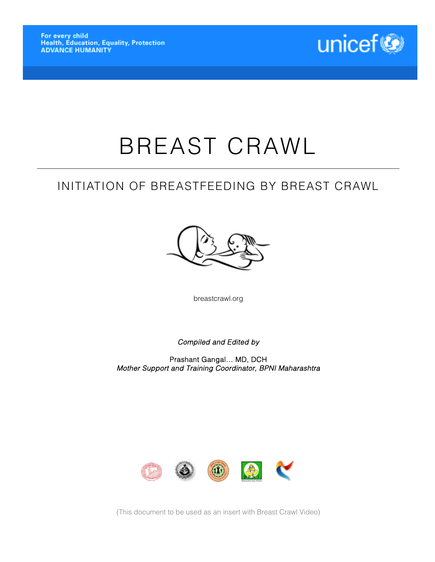

# BREAST CRAWL

# INITIATION OF BREASTFEEDING BY BREAST CRAWL



[breastcrawl.org](http://breastcrawl.org/) 

*Compiled and Edited by* 

Prashant Gangal… MD, DCH *Mother Support and Training Coordinator, BPNI Maharashtra* 



(This document to be used as an insert with Breast Crawl Video)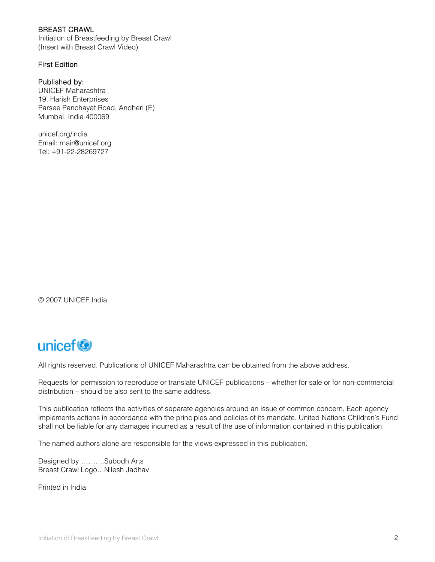# BREAST CRAWL

Initiation of Breastfeeding by Breast Crawl (Insert with Breast Crawl Video)

# First Edition

#### Published by:

UNICEF Maharashtra 19, Harish Enterprises Parsee Panchayat Road, Andheri (E) Mumbai, India 400069

[unicef.org/india](http://unicef.org/india/)  Email: rnair@unicef.org Tel: +91-22-28269727

© 2007 UNICEF India



All rights reserved. Publications of UNICEF Maharashtra can be obtained from the above address.

Requests for permission to reproduce or translate UNICEF publications – whether for sale or for non-commercial distribution – should be also sent to the same address.

This publication reflects the activities of separate agencies around an issue of common concern. Each agency implements actions in accordance with the principles and policies of its mandate. United Nations Children's Fund shall not be liable for any damages incurred as a result of the use of information contained in this publication.

The named authors alone are responsible for the views expressed in this publication.

Designed by………..Subodh Arts Breast Crawl Logo…Nilesh Jadhav

Printed in India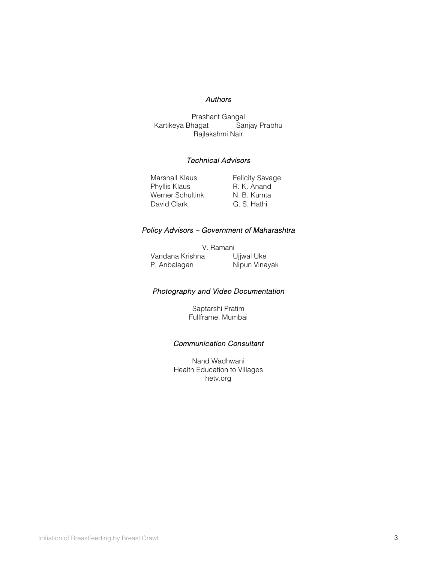#### *Authors*

Prashant Gangal<br>hagat **Canjay Prabhu** Kartikeya Bhagat Rajlakshmi Nair

# *Technical Advisors*

Marshall Klaus Felicity Savage Phyllis Klaus R. K. Anand Werner Schultink M. B. Kumta<br>David Clark G. S. Hathi David Clark

# *Policy Advisors – Government of Maharashtra*

V. Ramani Vandana Krishna Ujjwal Uke P. Anbalagan Nipun Vinayak

#### *Photography and Video Documentation*

Saptarshi Pratim Fullframe, Mumbai

# *Communication Consultant*

Nand Wadhwani Health Education to Villages [hetv.org](http://hetv.org/)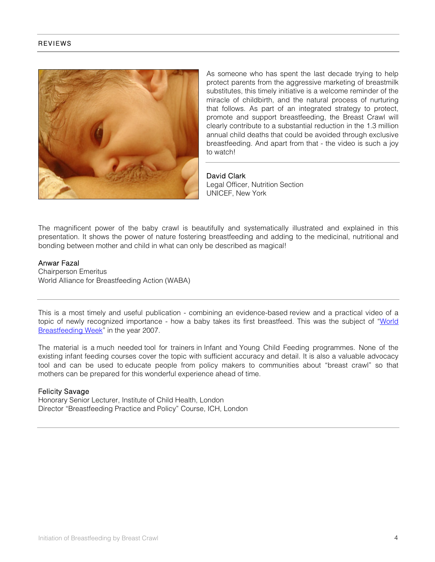#### REVIEWS



As someone who has spent the last decade trying to help protect parents from the aggressive marketing of breastmilk substitutes, this timely initiative is a welcome reminder of the miracle of childbirth, and the natural process of nurturing that follows. As part of an integrated strategy to protect, promote and support breastfeeding, the Breast Crawl will clearly contribute to a substantial reduction in the 1.3 million annual child deaths that could be avoided through exclusive breastfeeding. And apart from that - the video is such a joy to watch!

David Clark Legal Officer, Nutrition Section UNICEF, New York

The magnificent power of the baby crawl is beautifully and systematically illustrated and explained in this presentation. It shows the power of nature fostering breastfeeding and adding to the medicinal, nutritional and bonding between mother and child in what can only be described as magical!

# Anwar Fazal

Chairperson Emeritus World Alliance for Breastfeeding Action (WABA)

This is a most timely and useful publication - combining an evidence-based review and a practical video of a topic of newly recognized importance - how a baby takes its first breastfeed. This was the subject of "World" [Breastfeeding Week"](http://worldbreastfeedingweek.org/) in the year 2007.

The material is a much needed tool for trainers in Infant and Young Child Feeding programmes. None of the existing infant feeding courses cover the topic with sufficient accuracy and detail. It is also a valuable advocacy tool and can be used to educate people from policy makers to communities about "breast crawl" so that mothers can be prepared for this wonderful experience ahead of time.

#### Felicity Savage

Honorary Senior Lecturer, Institute of Child Health, London Director "Breastfeeding Practice and Policy" Course, ICH, London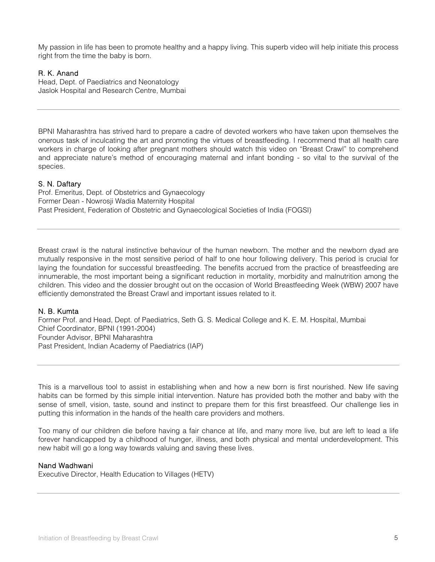My passion in life has been to promote healthy and a happy living. This superb video will help initiate this process right from the time the baby is born.

#### R. K. Anand

Head, Dept. of Paediatrics and Neonatology Jaslok Hospital and Research Centre, Mumbai

BPNI Maharashtra has strived hard to prepare a cadre of devoted workers who have taken upon themselves the onerous task of inculcating the art and promoting the virtues of breastfeeding. I recommend that all health care workers in charge of looking after pregnant mothers should watch this video on "Breast Crawl" to comprehend and appreciate nature's method of encouraging maternal and infant bonding - so vital to the survival of the species.

# S. N. Daftary

Prof. Emeritus, Dept. of Obstetrics and Gynaecology Former Dean - Nowrosji Wadia Maternity Hospital Past President, Federation of Obstetric and Gynaecological Societies of India (FOGSI)

Breast crawl is the natural instinctive behaviour of the human newborn. The mother and the newborn dyad are mutually responsive in the most sensitive period of half to one hour following delivery. This period is crucial for laying the foundation for successful breastfeeding. The benefits accrued from the practice of breastfeeding are innumerable, the most important being a significant reduction in mortality, morbidity and malnutrition among the children. This video and the dossier brought out on the occasion of World Breastfeeding Week (WBW) 2007 have efficiently demonstrated the Breast Crawl and important issues related to it.

# N. B. Kumta

Former Prof. and Head, Dept. of Paediatrics, Seth G. S. Medical College and K. E. M. Hospital, Mumbai Chief Coordinator, BPNI (1991-2004) Founder Advisor, BPNI Maharashtra Past President, Indian Academy of Paediatrics (IAP)

This is a marvellous tool to assist in establishing when and how a new born is first nourished. New life saving habits can be formed by this simple initial intervention. Nature has provided both the mother and baby with the sense of smell, vision, taste, sound and instinct to prepare them for this first breastfeed. Our challenge lies in putting this information in the hands of the health care providers and mothers.

Too many of our children die before having a fair chance at life, and many more live, but are left to lead a life forever handicapped by a childhood of hunger, illness, and both physical and mental underdevelopment. This new habit will go a long way towards valuing and saving these lives.

# Nand Wadhwani

Executive Director, Health Education to Villages (HETV)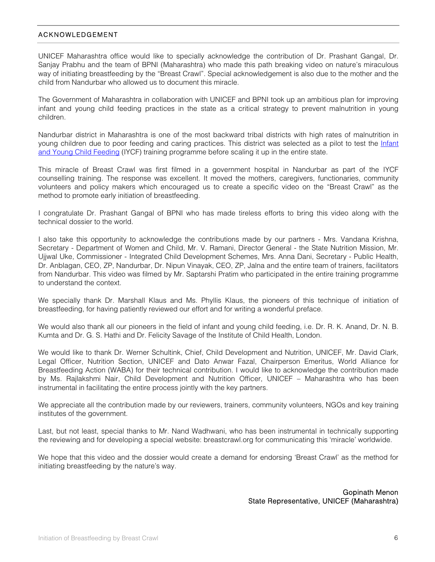# ACKNOWLEDGEMENT

UNICEF Maharashtra office would like to specially acknowledge the contribution of Dr. Prashant Gangal, Dr. Sanjay Prabhu and the team of BPNI (Maharashtra) who made this path breaking video on nature's miraculous way of initiating breastfeeding by the "Breast Crawl". Special acknowledgement is also due to the mother and the child from Nandurbar who allowed us to document this miracle.

The Government of Maharashtra in collaboration with UNICEF and BPNI took up an ambitious plan for improving infant and young child feeding practices in the state as a critical strategy to prevent malnutrition in young children.

Nandurbar district in Maharashtra is one of the most backward tribal districts with high rates of malnutrition in young children due to poor feeding and caring practices. This district was selected as a pilot to test the *Infant* [and Young Child Feeding](http://www.unicef.org/nutrition/index_breastfeeding.html) (IYCF) training programme before scaling it up in the entire state.

This miracle of Breast Crawl was first filmed in a government hospital in Nandurbar as part of the IYCF counselling training. The response was excellent. It moved the mothers, caregivers, functionaries, community volunteers and policy makers which encouraged us to create a specific video on the "Breast Crawl" as the method to promote early initiation of breastfeeding.

I congratulate Dr. Prashant Gangal of BPNI who has made tireless efforts to bring this video along with the technical dossier to the world.

I also take this opportunity to acknowledge the contributions made by our partners - Mrs. Vandana Krishna, Secretary - Department of Women and Child, Mr. V. Ramani, Director General - the State Nutrition Mission, Mr. Ujjwal Uke, Commissioner - Integrated Child Development Schemes, Mrs. Anna Dani, Secretary - Public Health, Dr. Anblagan, CEO, ZP, Nandurbar, Dr. Nipun Vinayak, CEO, ZP, Jalna and the entire team of trainers, facilitators from Nandurbar. This video was filmed by Mr. Saptarshi Pratim who participated in the entire training programme to understand the context.

We specially thank Dr. Marshall Klaus and Ms. Phyllis Klaus, the pioneers of this technique of initiation of breastfeeding, for having patiently reviewed our effort and for writing a wonderful preface.

We would also thank all our pioneers in the field of infant and young child feeding, i.e. Dr. R. K. Anand, Dr. N. B. Kumta and Dr. G. S. Hathi and Dr. Felicity Savage of the Institute of Child Health, London.

We would like to thank Dr. Werner Schultink, Chief, Child Development and Nutrition, UNICEF, Mr. David Clark, Legal Officer, Nutrition Section, UNICEF and Dato Anwar Fazal, Chairperson Emeritus, World Alliance for Breastfeeding Action (WABA) for their technical contribution. I would like to acknowledge the contribution made by Ms. Rajlakshmi Nair, Child Development and Nutrition Officer, UNICEF – Maharashtra who has been instrumental in facilitating the entire process jointly with the key partners.

We appreciate all the contribution made by our reviewers, trainers, community volunteers, NGOs and key training institutes of the government.

Last, but not least, special thanks to Mr. Nand Wadhwani, who has been instrumental in technically supporting the reviewing and for developing a special website: breastcrawl.org for communicating this 'miracle' worldwide.

We hope that this video and the dossier would create a demand for endorsing 'Breast Crawl' as the method for initiating breastfeeding by the nature's way.

> Gopinath Menon State Representative, UNICEF (Maharashtra)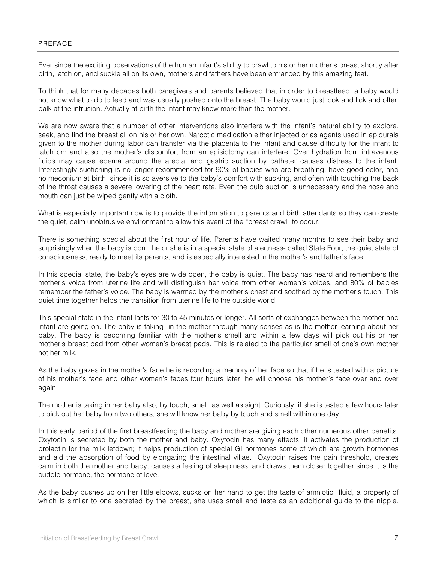# PREFACE

Ever since the exciting observations of the human infant's ability to crawl to his or her mother's breast shortly after birth, latch on, and suckle all on its own, mothers and fathers have been entranced by this amazing feat.

To think that for many decades both caregivers and parents believed that in order to breastfeed, a baby would not know what to do to feed and was usually pushed onto the breast. The baby would just look and lick and often balk at the intrusion. Actually at birth the infant may know more than the mother.

We are now aware that a number of other interventions also interfere with the infant's natural ability to explore, seek, and find the breast all on his or her own. Narcotic medication either injected or as agents used in epidurals given to the mother during labor can transfer via the placenta to the infant and cause difficulty for the infant to latch on; and also the mother's discomfort from an episiotomy can interfere. Over hydration from intravenous fluids may cause edema around the areola, and gastric suction by catheter causes distress to the infant. Interestingly suctioning is no longer recommended for 90% of babies who are breathing, have good color, and no meconium at birth, since it is so aversive to the baby's comfort with sucking, and often with touching the back of the throat causes a severe lowering of the heart rate. Even the bulb suction is unnecessary and the nose and mouth can just be wiped gently with a cloth.

What is especially important now is to provide the information to parents and birth attendants so they can create the quiet, calm unobtrusive environment to allow this event of the "breast crawl" to occur.

There is something special about the first hour of life. Parents have waited many months to see their baby and surprisingly when the baby is born, he or she is in a special state of alertness- called State Four, the quiet state of consciousness, ready to meet its parents, and is especially interested in the mother's and father's face.

In this special state, the baby's eyes are wide open, the baby is quiet. The baby has heard and remembers the mother's voice from uterine life and will distinguish her voice from other women's voices, and 80% of babies remember the father's voice. The baby is warmed by the mother's chest and soothed by the mother's touch. This quiet time together helps the transition from uterine life to the outside world.

This special state in the infant lasts for 30 to 45 minutes or longer. All sorts of exchanges between the mother and infant are going on. The baby is taking- in the mother through many senses as is the mother learning about her baby. The baby is becoming familiar with the mother's smell and within a few days will pick out his or her mother's breast pad from other women's breast pads. This is related to the particular smell of one's own mother not her milk.

As the baby gazes in the mother's face he is recording a memory of her face so that if he is tested with a picture of his mother's face and other women's faces four hours later, he will choose his mother's face over and over again.

The mother is taking in her baby also, by touch, smell, as well as sight. Curiously, if she is tested a few hours later to pick out her baby from two others, she will know her baby by touch and smell within one day.

In this early period of the first breastfeeding the baby and mother are giving each other numerous other benefits. Oxytocin is secreted by both the mother and baby. Oxytocin has many effects; it activates the production of prolactin for the milk letdown; it helps production of special GI hormones some of which are growth hormones and aid the absorption of food by elongating the intestinal villae. Oxytocin raises the pain threshold, creates calm in both the mother and baby, causes a feeling of sleepiness, and draws them closer together since it is the cuddle hormone, the hormone of love.

As the baby pushes up on her little elbows, sucks on her hand to get the taste of amniotic fluid, a property of which is similar to one secreted by the breast, she uses smell and taste as an additional guide to the nipple.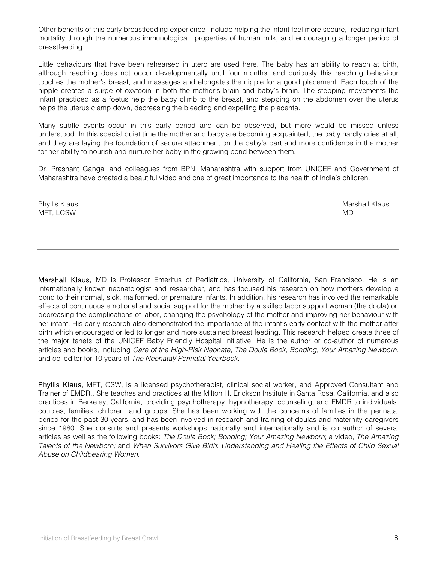Other benefits of this early breastfeeding experience include helping the infant feel more secure, reducing infant mortality through the numerous immunological properties of human milk, and encouraging a longer period of breastfeeding.

Little behaviours that have been rehearsed in utero are used here. The baby has an ability to reach at birth, although reaching does not occur developmentally until four months, and curiously this reaching behaviour touches the mother's breast, and massages and elongates the nipple for a good placement. Each touch of the nipple creates a surge of oxytocin in both the mother's brain and baby's brain. The stepping movements the infant practiced as a foetus help the baby climb to the breast, and stepping on the abdomen over the uterus helps the uterus clamp down, decreasing the bleeding and expelling the placenta.

Many subtle events occur in this early period and can be observed, but more would be missed unless understood. In this special quiet time the mother and baby are becoming acquainted, the baby hardly cries at all, and they are laying the foundation of secure attachment on the baby's part and more confidence in the mother for her ability to nourish and nurture her baby in the growing bond between them.

Dr. Prashant Gangal and colleagues from BPNI Maharashtra with support from UNICEF and Government of Maharashtra have created a beautiful video and one of great importance to the health of India's children.

MFT, LCSW MD

Phyllis Klaus, National According to the Control of the Control of the Control of the Marshall Klaus, National Marshall Klaus, National According to the Control of the Control of the Control of the Control of the Control o

Marshall Klaus, MD is Professor Emeritus of Pediatrics, University of California, San Francisco. He is an internationally known neonatologist and researcher, and has focused his research on how mothers develop a bond to their normal, sick, malformed, or premature infants. In addition, his research has involved the remarkable effects of continuous emotional and social support for the mother by a skilled labor support woman (the doula) on decreasing the complications of labor, changing the psychology of the mother and improving her behaviour with her infant. His early research also demonstrated the importance of the infant's early contact with the mother after birth which encouraged or led to longer and more sustained breast feeding. This research helped create three of the major tenets of the UNICEF Baby Friendly Hospital Initiative. He is the author or co-author of numerous articles and books, including *Care of the High-Risk Neonate, The Doula Book, Bonding, Your Amazing Newborn*, and co–editor for 10 years of *The Neonatal/ Perinatal Yearbook*.

Phyllis Klaus, MFT, CSW, is a licensed psychotherapist, clinical social worker, and Approved Consultant and Trainer of EMDR.. She teaches and practices at the Milton H. Erickson Institute in Santa Rosa, California, and also practices in Berkeley, California, providing psychotherapy, hypnotherapy, counseling, and EMDR to individuals, couples, families, children, and groups. She has been working with the concerns of families in the perinatal period for the past 30 years, and has been involved in research and training of doulas and maternity caregivers since 1980. She consults and presents workshops nationally and internationally and is co author of several articles as well as the following books: *The Doula Book; Bonding; Your Amazing Newborn*; a video, *The Amazing Talents of the Newborn;* and *When Survivors Give Birth*: *Understanding and Healing the Effects of Child Sexual Abuse on Childbearing Women*.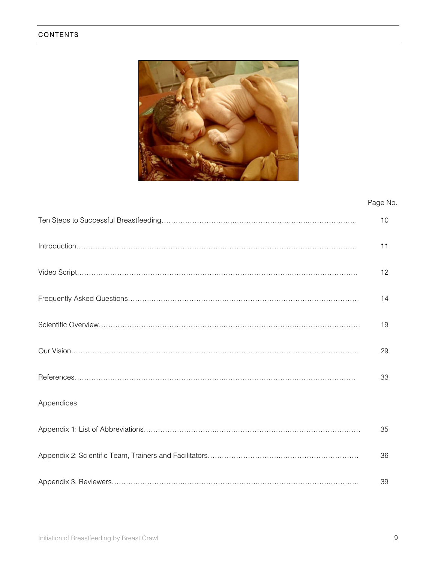# <span id="page-8-0"></span>CONTENTS



# Page No.

|            | 10 |
|------------|----|
|            | 11 |
|            | 12 |
|            | 14 |
|            | 19 |
|            | 29 |
|            | 33 |
| Appendices |    |
|            | 35 |
|            | 36 |
|            | 39 |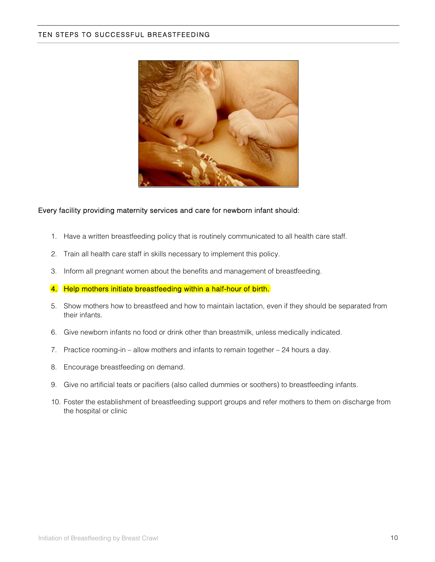#### <span id="page-9-1"></span><span id="page-9-0"></span>TEN STEPS TO SUCCESSFUL BREASTFEEDING



# Every facility providing maternity services and care for newborn infant should:

- 1. Have a written breastfeeding policy that is routinely communicated to all health care staff.
- 2. Train all health care staff in skills necessary to implement this policy.
- 3. Inform all pregnant women about the benefits and management of breastfeeding.

#### 4. Help mothers initiate breastfeeding within a half-hour of birth.

- 5. Show mothers how to breastfeed and how to maintain lactation, even if they should be separated from their infants.
- 6. Give newborn infants no food or drink other than breastmilk, unless medically indicated.
- 7. Practice rooming-in allow mothers and infants to remain together 24 hours a day.
- 8. Encourage breastfeeding on demand.
- 9. Give no artificial teats or pacifiers (also called dummies or soothers) to breastfeeding infants.
- 10. Foster the establishment of breastfeeding support groups and refer mothers to them on discharge from the hospital or clinic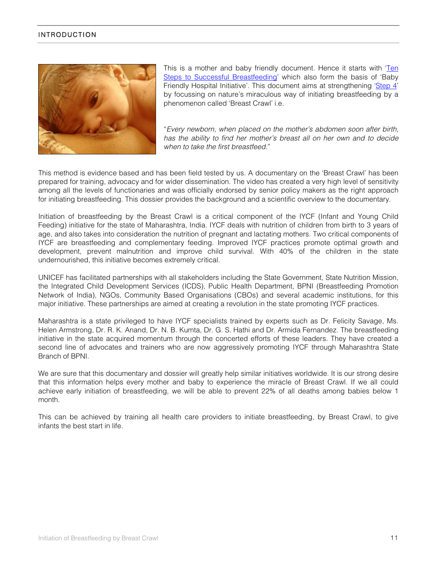# <span id="page-10-0"></span>INTRODUCTION



This is a mother and baby friendly document. Hence it starts with 'Ten [Steps to Successful Breastfeeding](#page-8-0)' which also form the basis of 'Baby Friendly Hospital Initiative'. This document aims at strengthening ['Step 4'](#page-9-1) by focussing on nature's miraculous way of initiating breastfeeding by a phenomenon called 'Breast Crawl' i.e.

"*Every newborn, when placed on the mother's abdomen soon after birth, has the ability to find her mother's breast all on her own and to decide when to take the first breastfeed.*"

This method is evidence based and has been field tested by us. A documentary on the 'Breast Crawl' has been prepared for training, advocacy and for wider dissemination. The video has created a very high level of sensitivity among all the levels of functionaries and was officially endorsed by senior policy makers as the right approach for initiating breastfeeding. This dossier provides the background and a scientific overview to the documentary.

Initiation of breastfeeding by the Breast Crawl is a critical component of the IYCF (Infant and Young Child Feeding) initiative for the state of Maharashtra, India. IYCF deals with nutrition of children from birth to 3 years of age, and also takes into consideration the nutrition of pregnant and lactating mothers. Two critical components of IYCF are breastfeeding and complementary feeding. Improved IYCF practices promote optimal growth and development, prevent malnutrition and improve child survival. With 40% of the children in the state undernourished, this initiative becomes extremely critical.

UNICEF has facilitated partnerships with all stakeholders including the State Government, State Nutrition Mission, the Integrated Child Development Services (ICDS), Public Health Department, BPNI (Breastfeeding Promotion Network of India), NGOs, Community Based Organisations (CBOs) and several academic institutions, for this major initiative. These partnerships are aimed at creating a revolution in the state promoting IYCF practices.

Maharashtra is a state privileged to have IYCF specialists trained by experts such as Dr. Felicity Savage, Ms. Helen Armstrong, Dr. R. K. Anand, Dr. N. B. Kumta, Dr. G. S. Hathi and Dr. Armida Fernandez. The breastfeeding initiative in the state acquired momentum through the concerted efforts of these leaders. They have created a second line of advocates and trainers who are now aggressively promoting IYCF through Maharashtra State Branch of BPNI.

We are sure that this documentary and dossier will greatly help similar initiatives worldwide. It is our strong desire that this information helps every mother and baby to experience the miracle of Breast Crawl. If we all could achieve early initiation of breastfeeding, we will be able to prevent 22% of all deaths among babies below 1 month.

This can be achieved by training all health care providers to initiate breastfeeding, by Breast Crawl, to give infants the best start in life.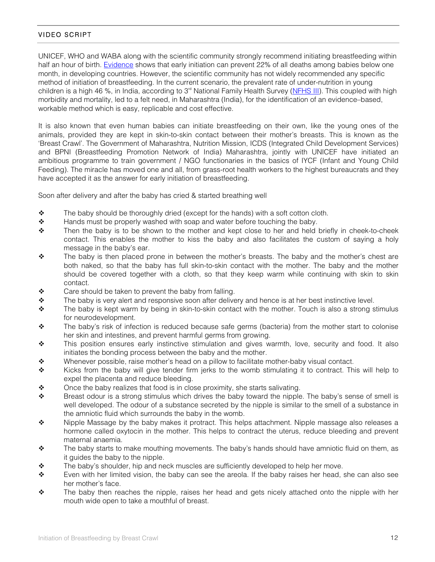# <span id="page-11-0"></span>VIDEO SCRIPT

UNICEF, WHO and WABA along with the scientific community strongly recommend initiating breastfeeding within half an hour of birth. [Evidence](http://pediatrics.aappublications.org/cgi/content/abstract/117/3/e380) shows that early initiation can prevent 22% of all deaths among babies below one month, in developing countries. However, the scientific community has not widely recommended any specific method of initiation of breastfeeding. In the current scenario, the prevalent rate of under-nutrition in young children is a high 46 %, in India, according to  $3<sup>rd</sup>$  National Family Health Survey ([NFHS III](http://www.nfhsindia.org/nfhs3.html)). This coupled with high morbidity and mortality, led to a felt need, in Maharashtra (India), for the identification of an evidence–based, workable method which is easy, replicable and cost effective.

It is also known that even human babies can initiate breastfeeding on their own, like the young ones of the animals, provided they are kept in skin-to-skin contact between their mother's breasts. This is known as the 'Breast Crawl'. The Government of Maharashtra, Nutrition Mission, ICDS (Integrated Child Development Services) and BPNI (Breastfeeding Promotion Network of India) Maharashtra, jointly with UNICEF have initiated an ambitious programme to train government / NGO functionaries in the basics of IYCF (Infant and Young Child Feeding). The miracle has moved one and all, from grass-root health workers to the highest bureaucrats and they have accepted it as the answer for early initiation of breastfeeding.

Soon after delivery and after the baby has cried & started breathing well

- $\div$  The baby should be thoroughly dried (except for the hands) with a soft cotton cloth.
- $\triangle$  Hands must be properly washed with soap and water before touching the baby.
- $\div$  Then the baby is to be shown to the mother and kept close to her and held briefly in cheek-to-cheek contact. This enables the mother to kiss the baby and also facilitates the custom of saying a holy message in the baby's ear.
- $\div$  The baby is then placed prone in between the mother's breasts. The baby and the mother's chest are both naked, so that the baby has full skin-to-skin contact with the mother. The baby and the mother should be covered together with a cloth, so that they keep warm while continuing with skin to skin contact.
- $\mathbf{\hat{P}}$  Care should be taken to prevent the baby from falling.
- \* The baby is very alert and responsive soon after delivery and hence is at her best instinctive level.
- $\clubsuit$  The baby is kept warm by being in skin-to-skin contact with the mother. Touch is also a strong stimulus for neurodevelopment.
- The baby's risk of infection is reduced because safe germs (bacteria) from the mother start to colonise her skin and intestines, and prevent harmful germs from growing.
- $\div$  This position ensures early instinctive stimulation and gives warmth, love, security and food. It also initiates the bonding process between the baby and the mother.
- $\bullet$  Whenever possible, raise mother's head on a pillow to facilitate mother-baby visual contact.
- Kicks from the baby will give tender firm jerks to the womb stimulating it to contract. This will help to expel the placenta and reduce bleeding.
- $\bullet$  Once the baby realizes that food is in close proximity, she starts salivating.
- $\bullet$  Breast odour is a strong stimulus which drives the baby toward the nipple. The baby's sense of smell is well developed. The odour of a substance secreted by the nipple is similar to the smell of a substance in the amniotic fluid which surrounds the baby in the womb.
- $\bullet$  Nipple Massage by the baby makes it protract. This helps attachment. Nipple massage also releases a hormone called oxytocin in the mother. This helps to contract the uterus, reduce bleeding and prevent maternal anaemia.
- $\clubsuit$  The baby starts to make mouthing movements. The baby's hands should have amniotic fluid on them, as it guides the baby to the nipple.
- $\clubsuit$  The baby's shoulder, hip and neck muscles are sufficiently developed to help her move.
- $\bullet$  Even with her limited vision, the baby can see the areola. If the baby raises her head, she can also see her mother's face.
- $\bullet$  The baby then reaches the nipple, raises her head and gets nicely attached onto the nipple with her mouth wide open to take a mouthful of breast.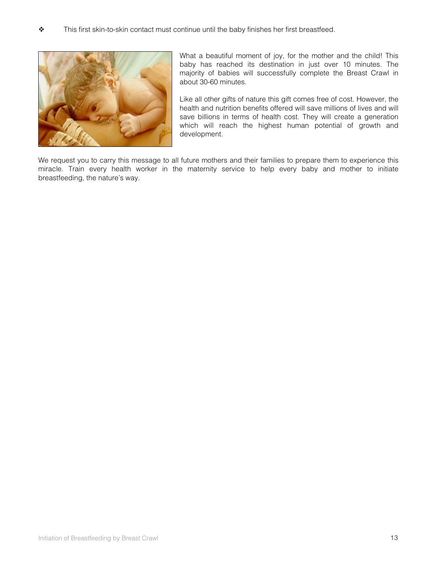<span id="page-12-0"></span>

What a beautiful moment of joy, for the mother and the child! This baby has reached its destination in just over 10 minutes. The majority of babies will successfully complete the Breast Crawl in about 30-60 minutes.

Like all other gifts of nature this gift comes free of cost. However, the health and nutrition benefits offered will save millions of lives and will save billions in terms of health cost. They will create a generation which will reach the highest human potential of growth and development.

We request you to carry this message to all future mothers and their families to prepare them to experience this miracle. Train every health worker in the maternity service to help every baby and mother to initiate breastfeeding, the nature's way.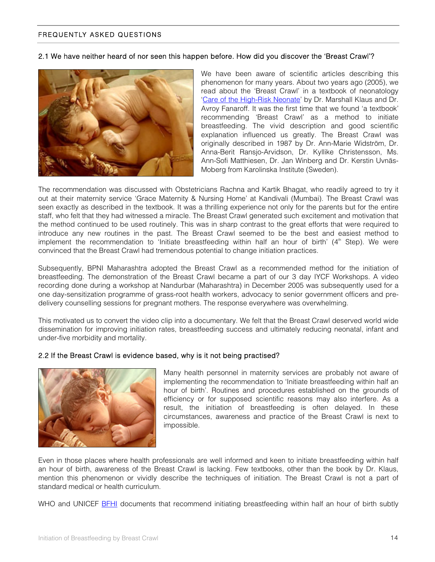# <span id="page-13-0"></span>FREQUENTLY ASKED QUESTIONS

#### 2.1 We have neither heard of nor seen this happen before. How did you discover the 'Breast Crawl'?



We have been aware of scientific articles describing this phenomenon for many years. About two years ago (2005), we read about the 'Breast Crawl' in a textbook of neonatology ['Care of the High-Risk Neonate'](http://www.nature.com/jp/journal/v22/n7/full/7210686a.html) by Dr. Marshall Klaus and Dr. Avroy Fanaroff. It was the first time that we found 'a textbook' recommending 'Breast Crawl' as a method to initiate breastfeeding. The vivid description and good scientific explanation influenced us greatly. The Breast Crawl was originally described in 1987 by Dr. Ann-Marie Widström, Dr. Anna-Berit Ransjo-Arvidson, Dr. Kyllike Christensson, Ms. Ann-Sofi Matthiesen, Dr. Jan Winberg and Dr. Kerstin Uvnäs-Moberg from Karolinska Institute (Sweden).

The recommendation was discussed with Obstetricians Rachna and Kartik Bhagat, who readily agreed to try it out at their maternity service 'Grace Maternity & Nursing Home' at Kandivali (Mumbai). The Breast Crawl was seen exactly as described in the textbook. It was a thrilling experience not only for the parents but for the entire staff, who felt that they had witnessed a miracle. The Breast Crawl generated such excitement and motivation that the method continued to be used routinely. This was in sharp contrast to the great efforts that were required to introduce any new routines in the past. The Breast Crawl seemed to be the best and easiest method to implement the recommendation to 'Initiate breastfeeding within half an hour of birth'  $(4<sup>th</sup>$  Step). We were convinced that the Breast Crawl had tremendous potential to change initiation practices.

Subsequently, BPNI Maharashtra adopted the Breast Crawl as a recommended method for the initiation of breastfeeding. The demonstration of the Breast Crawl became a part of our 3 day IYCF Workshops. A video recording done during a workshop at Nandurbar (Maharashtra) in December 2005 was subsequently used for a one day-sensitization programme of grass-root health workers, advocacy to senior government officers and predelivery counselling sessions for pregnant mothers. The response everywhere was overwhelming.

This motivated us to convert the video clip into a documentary. We felt that the Breast Crawl deserved world wide dissemination for improving initiation rates, breastfeeding success and ultimately reducing neonatal, infant and under-five morbidity and mortality.

# 2.2 If the Breast Crawl is evidence based, why is it not being practised?



Many health personnel in maternity services are probably not aware of implementing the recommendation to 'Initiate breastfeeding within half an hour of birth'. Routines and procedures established on the grounds of efficiency or for supposed scientific reasons may also interfere. As a result, the initiation of breastfeeding is often delayed. In these circumstances, awareness and practice of the Breast Crawl is next to impossible.

Even in those places where health professionals are well informed and keen to initiate breastfeeding within half an hour of birth, awareness of the Breast Crawl is lacking. Few textbooks, other than the book by Dr. Klaus, mention this phenomenon or vividly describe the techniques of initiation. The Breast Crawl is not a part of standard medical or health curriculum.

WHO and UNICEF [BFHI](http://www.unicef.org/nutrition/index_24806.html) documents that recommend initiating breastfeeding within half an hour of birth subtly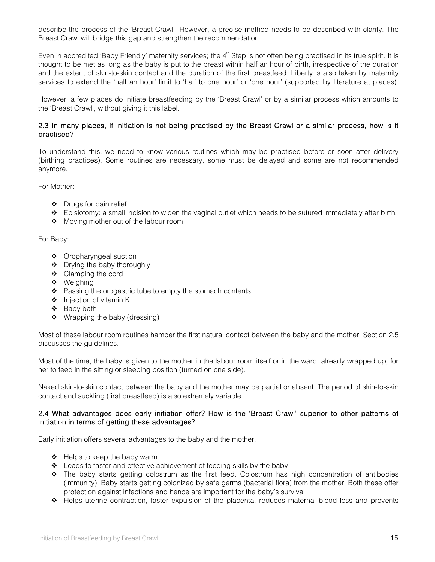describe the process of the 'Breast Crawl'. However, a precise method needs to be described with clarity. The Breast Crawl will bridge this gap and strengthen the recommendation.

Even in accredited 'Baby Friendly' maternity services; the  $4<sup>th</sup>$  Step is not often being practised in its true spirit. It is thought to be met as long as the baby is put to the breast within half an hour of birth, irrespective of the duration and the extent of skin-to-skin contact and the duration of the first breastfeed. Liberty is also taken by maternity services to extend the 'half an hour' limit to 'half to one hour' or 'one hour' (supported by literature at places).

However, a few places do initiate breastfeeding by the 'Breast Crawl' or by a similar process which amounts to the 'Breast Crawl', without giving it this label.

# 2.3 In many places, if initiation is not being practised by the Breast Crawl or a similar process, how is it practised?

To understand this, we need to know various routines which may be practised before or soon after delivery (birthing practices). Some routines are necessary, some must be delayed and some are not recommended anymore.

For Mother:

- Drugs for pain relief
- Episiotomy: a small incision to widen the vaginal outlet which needs to be sutured immediately after birth.
- Moving mother out of the labour room

For Baby:

- Oropharyngeal suction
- Drying the baby thoroughly
- ❖ Clamping the cord
- ❖ Weighing
- \* Passing the orogastric tube to empty the stomach contents
- $\triangleleft$  Injection of vitamin K
- Baby bath
- Wrapping the baby (dressing)

Most of these labour room routines hamper the first natural contact between the baby and the mother. [Section 2.5](#page-15-0)  discusses the guidelines.

Most of the time, the baby is given to the mother in the labour room itself or in the ward, already wrapped up, for her to feed in the sitting or sleeping position (turned on one side).

Naked skin-to-skin contact between the baby and the mother may be partial or absent. The period of skin-to-skin contact and suckling (first breastfeed) is also extremely variable.

#### 2.4 What advantages does early initiation offer? How is the 'Breast Crawl' superior to other patterns of initiation in terms of getting these advantages?

Early initiation offers several advantages to the baby and the mother.

- $\div$  Helps to keep the baby warm
- \* Leads to faster and effective achievement of feeding skills by the baby
- The baby starts getting colostrum as the first feed. Colostrum has high concentration of antibodies (immunity). Baby starts getting colonized by safe germs (bacterial flora) from the mother. Both these offer protection against infections and hence are important for the baby's survival.
- Helps uterine contraction, faster expulsion of the placenta, reduces maternal blood loss and prevents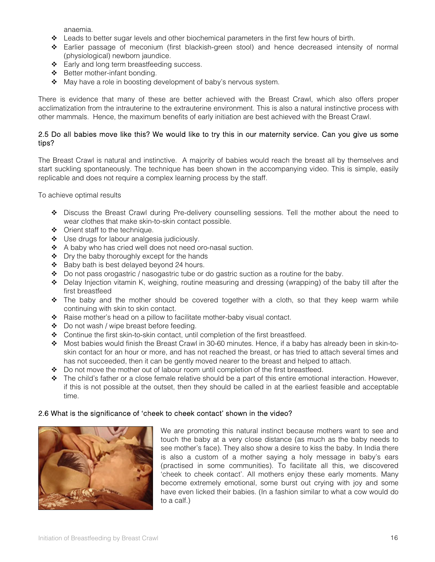anaemia.

- <span id="page-15-0"></span>Leads to better sugar levels and other biochemical parameters in the first few hours of birth.
- Earlier passage of meconium (first blackish-green stool) and hence decreased intensity of normal (physiological) newborn jaundice.
- ❖ Early and long term breastfeeding success.
- $\div$  Better mother-infant bonding.
- \* May have a role in boosting development of baby's nervous system.

There is evidence that many of these are better achieved with the Breast Crawl, which also offers proper acclimatization from the intrauterine to the extrauterine environment. This is also a natural instinctive process with other mammals. Hence, the maximum benefits of early initiation are best achieved with the Breast Crawl.

# 2.5 Do all babies move like this? We would like to try this in our maternity service. Can you give us some tips?

The Breast Crawl is natural and instinctive. A majority of babies would reach the breast all by themselves and start suckling spontaneously. The technique has been shown in the accompanying video. This is simple, easily replicable and does not require a complex learning process by the staff.

To achieve optimal results

- Discuss the Breast Crawl during Pre-delivery counselling sessions. Tell the mother about the need to wear clothes that make skin-to-skin contact possible.
- Orient staff to the technique.
- Use drugs for labour analgesia judiciously.
- A baby who has cried well does not need oro-nasal suction.
- $\div$  Dry the baby thoroughly except for the hands
- ❖ Baby bath is best delayed beyond 24 hours.
- Do not pass orogastric / nasogastric tube or do gastric suction as a routine for the baby.
- Delay Injection vitamin K, weighing, routine measuring and dressing (wrapping) of the baby till after the first breastfeed
- $\div$  The baby and the mother should be covered together with a cloth, so that they keep warm while continuing with skin to skin contact.
- \* Raise mother's head on a pillow to facilitate mother-baby visual contact.
- Do not wash / wipe breast before feeding.
- Continue the first skin-to-skin contact, until completion of the first breastfeed.
- ◆ Most babies would finish the Breast Crawl in 30-60 minutes. Hence, if a baby has already been in skin-toskin contact for an hour or more, and has not reached the breast, or has tried to attach several times and has not succeeded, then it can be gently moved nearer to the breast and helped to attach.
- \* Do not move the mother out of labour room until completion of the first breastfeed.
- The child's father or a close female relative should be a part of this entire emotional interaction. However, if this is not possible at the outset, then they should be called in at the earliest feasible and acceptable time.

# 2.6 What is the significance of 'cheek to cheek contact' shown in the video?



We are promoting this natural instinct because mothers want to see and touch the baby at a very close distance (as much as the baby needs to see mother's face). They also show a desire to kiss the baby. In India there is also a custom of a mother saying a holy message in baby's ears (practised in some communities). To facilitate all this, we discovered 'cheek to cheek contact'. All mothers enjoy these early moments. Many become extremely emotional, some burst out crying with joy and some have even licked their babies. (In a fashion similar to what a cow would do to a calf.)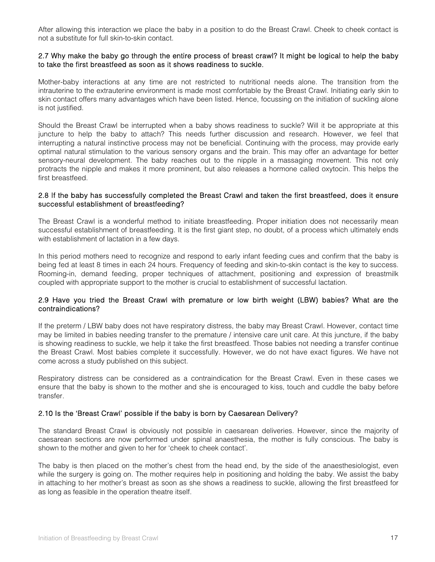After allowing this interaction we place the baby in a position to do the Breast Crawl. Cheek to cheek contact is not a substitute for full skin-to-skin contact.

#### 2.7 Why make the baby go through the entire process of breast crawl? It might be logical to help the baby to take the first breastfeed as soon as it shows readiness to suckle.

Mother-baby interactions at any time are not restricted to nutritional needs alone. The transition from the intrauterine to the extrauterine environment is made most comfortable by the Breast Crawl. Initiating early skin to skin contact offers many advantages which have been listed. Hence, focussing on the initiation of suckling alone is not justified.

Should the Breast Crawl be interrupted when a baby shows readiness to suckle? Will it be appropriate at this juncture to help the baby to attach? This needs further discussion and research. However, we feel that interrupting a natural instinctive process may not be beneficial. Continuing with the process, may provide early optimal natural stimulation to the various sensory organs and the brain. This may offer an advantage for better sensory-neural development. The baby reaches out to the nipple in a massaging movement. This not only protracts the nipple and makes it more prominent, but also releases a hormone called oxytocin. This helps the first breastfeed.

#### 2.8 If the baby has successfully completed the Breast Crawl and taken the first breastfeed, does it ensure successful establishment of breastfeeding?

The Breast Crawl is a wonderful method to initiate breastfeeding. Proper initiation does not necessarily mean successful establishment of breastfeeding. It is the first giant step, no doubt, of a process which ultimately ends with establishment of lactation in a few days.

In this period mothers need to recognize and respond to early infant feeding cues and confirm that the baby is being fed at least 8 times in each 24 hours. Frequency of feeding and skin-to-skin contact is the key to success. Rooming-in, demand feeding, proper techniques of attachment, positioning and expression of breastmilk coupled with appropriate support to the mother is crucial to establishment of successful lactation.

# 2.9 Have you tried the Breast Crawl with premature or low birth weight (LBW) babies? What are the contraindications?

If the preterm / LBW baby does not have respiratory distress, the baby may Breast Crawl. However, contact time may be limited in babies needing transfer to the premature / intensive care unit care. At this juncture, if the baby is showing readiness to suckle, we help it take the first breastfeed. Those babies not needing a transfer continue the Breast Crawl. Most babies complete it successfully. However, we do not have exact figures. We have not come across a study published on this subject.

Respiratory distress can be considered as a contraindication for the Breast Crawl. Even in these cases we ensure that the baby is shown to the mother and she is encouraged to kiss, touch and cuddle the baby before transfer.

# 2.10 Is the 'Breast Crawl' possible if the baby is born by Caesarean Delivery?

The standard Breast Crawl is obviously not possible in caesarean deliveries. However, since the majority of caesarean sections are now performed under spinal anaesthesia, the mother is fully conscious. The baby is shown to the mother and given to her for 'cheek to cheek contact'.

The baby is then placed on the mother's chest from the head end, by the side of the anaesthesiologist, even while the surgery is going on. The mother requires help in positioning and holding the baby. We assist the baby in attaching to her mother's breast as soon as she shows a readiness to suckle, allowing the first breastfeed for as long as feasible in the operation theatre itself.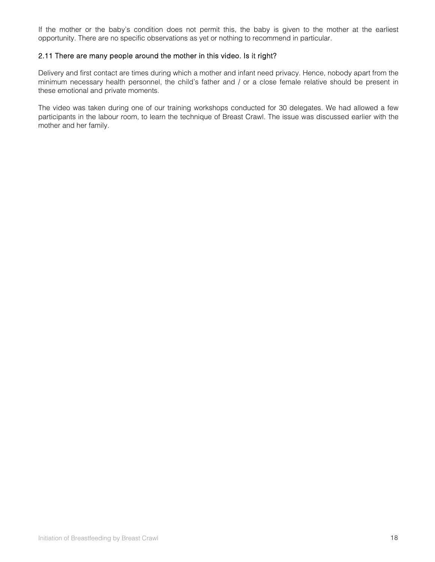If the mother or the baby's condition does not permit this, the baby is given to the mother at the earliest opportunity. There are no specific observations as yet or nothing to recommend in particular.

# 2.11 There are many people around the mother in this video. Is it right?

Delivery and first contact are times during which a mother and infant need privacy. Hence, nobody apart from the minimum necessary health personnel, the child's father and / or a close female relative should be present in these emotional and private moments.

The video was taken during one of our training workshops conducted for 30 delegates. We had allowed a few participants in the labour room, to learn the technique of Breast Crawl. The issue was discussed earlier with the mother and her family.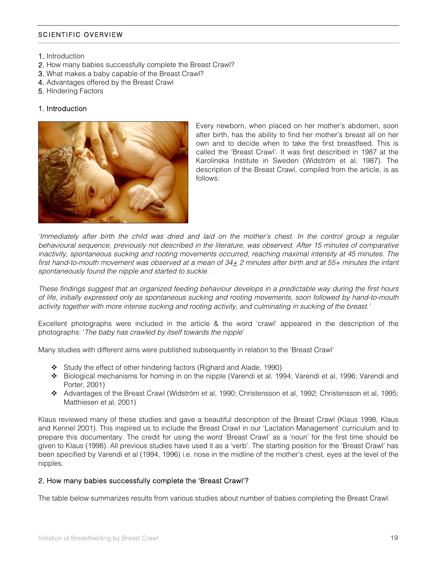# <span id="page-18-0"></span>SCIENTIFIC OVERVIEW

- 1. Introduction
- [2. How many babies successfully complete the Breast Crawl?](#page-19-0)
- [3. What makes a baby capable of the Breast Crawl?](#page-19-0)
- [4. Advantages offered by the Breast Crawl](#page-23-0)
- [5. Hindering Factors](#page-26-0)

#### 1. Introduction



Every newborn, when placed on her mother's abdomen, soon after birth, has the ability to find her mother's breast all on her own and to decide when to take the first breastfeed. This is called the 'Breast Crawl'. It was first described in 1987 at the Karolinska Institute in Sweden (Widström et al, 1987). The description of the Breast Crawl, compiled from the article, is as follows:

*'Immediately after birth the child was dried and laid on the mother's chest. In the control group a regular behavioural sequence, previously not described in the literature, was observed. After 15 minutes of comparative inactivity, spontaneous sucking and rooting movements occurred, reaching maximal intensity at 45 minutes. The first hand-to-mouth movement was observed at a mean of 34+ 2 minutes after birth and at 55+ minutes the infant spontaneously found the nipple and started to suckle.* 

*These findings suggest that an organized feeding behaviour develops in a predictable way during the first hours of life, initially expressed only as spontaneous sucking and rooting movements, soon followed by hand-to-mouth activity together with more intense sucking and rooting activity, and culminating in sucking of the breast.'* 

Excellent photographs were included in the article & the word 'crawl' appeared in the description of the photographs: '*The baby has crawled by itself towards the nipple*'

Many studies with different aims were published subsequently in relation to the 'Breast Crawl'

- Study the effect of other hindering factors (Righard and Alade, 1990)
- Biological mechanisms for homing in on the nipple (Varendi et al, 1994; Varendi et al, 1996; Varendi and Porter, 2001)
- Advantages of the Breast Crawl (Widström et al, 1990; Christensson et al, 1992; Christensson et al, 1995; Matthiesen et al, 2001)

Klaus reviewed many of these studies and gave a beautiful description of the Breast Crawl (Klaus 1998, Klaus and Kennel 2001). This inspired us to include the Breast Crawl in our 'Lactation Management' curriculum and to prepare this documentary. The credit for using the word 'Breast Crawl' as a 'noun' for the first time should be given to Klaus (1998). All previous studies have used it as a 'verb'. The starting position for the 'Breast Crawl' has been specified by Varendi et al (1994, 1996) i.e. nose in the midline of the mother's chest, eyes at the level of the nipples.

# 2. How many babies successfully complete the 'Breast Crawl'?

The table below summarizes results from various studies about number of babies completing the Breast Crawl.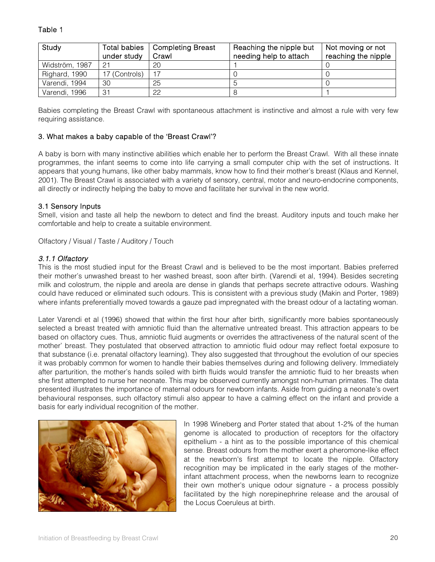<span id="page-19-0"></span>

| Study          | Total babies<br>under study | <b>Completing Breast</b><br>Crawl | Reaching the nipple but<br>needing help to attach | Not moving or not<br>reaching the nipple |
|----------------|-----------------------------|-----------------------------------|---------------------------------------------------|------------------------------------------|
| Widström, 1987 | 21                          | 20                                |                                                   |                                          |
| Righard, 1990  | 17 (Controls)               |                                   |                                                   |                                          |
| Varendi, 1994  | 30                          | 25                                |                                                   |                                          |
| Varendi, 1996  | 31                          | 22                                |                                                   |                                          |

Babies completing the Breast Crawl with spontaneous attachment is instinctive and almost a rule with very few requiring assistance.

# 3. What makes a baby capable of the 'Breast Crawl'?

A baby is born with many instinctive abilities which enable her to perform the Breast Crawl. With all these innate programmes, the infant seems to come into life carrying a small computer chip with the set of instructions. It appears that young humans, like other baby mammals, know how to find their mother's breast (Klaus and Kennel, 2001). The Breast Crawl is associated with a variety of sensory, central, motor and neuro-endocrine components, all directly or indirectly helping the baby to move and facilitate her survival in the new world.

# 3.1 Sensory Inputs

Smell, vision and taste all help the newborn to detect and find the breast. Auditory inputs and touch make her comfortable and help to create a suitable environment.

Olfactory / Visual / Taste / Auditory / Touch

#### *3.1.1 Olfactory*

This is the most studied input for the Breast Crawl and is believed to be the most important. Babies preferred their mother's unwashed breast to her washed breast, soon after birth. (Varendi et al, 1994). Besides secreting milk and colostrum, the nipple and areola are dense in glands that perhaps secrete attractive odours. Washing could have reduced or eliminated such odours. This is consistent with a previous study (Makin and Porter, 1989) where infants preferentially moved towards a gauze pad impregnated with the breast odour of a lactating woman.

Later Varendi et al (1996) showed that within the first hour after birth, significantly more babies spontaneously selected a breast treated with amniotic fluid than the alternative untreated breast. This attraction appears to be based on olfactory cues. Thus, amniotic fluid augments or overrides the attractiveness of the natural scent of the mother' breast. They postulated that observed attraction to amniotic fluid odour may reflect foetal exposure to that substance (i.e. prenatal olfactory learning). They also suggested that throughout the evolution of our species it was probably common for women to handle their babies themselves during and following delivery. Immediately after parturition, the mother's hands soiled with birth fluids would transfer the amniotic fluid to her breasts when she first attempted to nurse her neonate. This may be observed currently amongst non-human primates. The data presented illustrates the importance of maternal odours for newborn infants. Aside from guiding a neonate's overt behavioural responses, such olfactory stimuli also appear to have a calming effect on the infant and provide a basis for early individual recognition of the mother.



In 1998 Wineberg and Porter stated that about 1-2% of the human genome is allocated to production of receptors for the olfactory epithelium - a hint as to the possible importance of this chemical sense. Breast odours from the mother exert a pheromone-like effect at the newborn's first attempt to locate the nipple. Olfactory recognition may be implicated in the early stages of the motherinfant attachment process, when the newborns learn to recognize their own mother's unique odour signature - a process possibly facilitated by the high norepinephrine release and the arousal of the Locus Coeruleus at birth.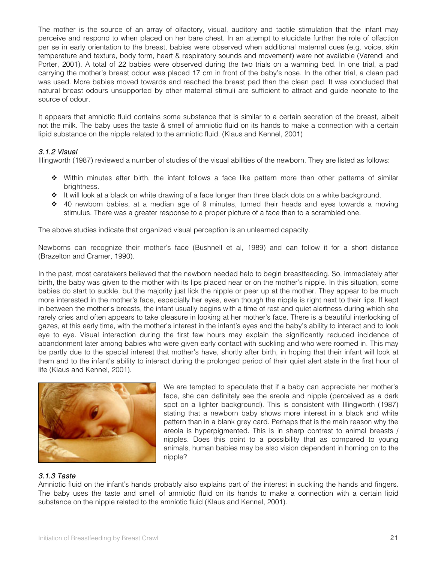The mother is the source of an array of olfactory, visual, auditory and tactile stimulation that the infant may perceive and respond to when placed on her bare chest. In an attempt to elucidate further the role of olfaction per se in early orientation to the breast, babies were observed when additional maternal cues (e.g. voice, skin temperature and texture, body form, heart & respiratory sounds and movement) were not available (Varendi and Porter, 2001). A total of 22 babies were observed during the two trials on a warming bed. In one trial, a pad carrying the mother's breast odour was placed 17 cm in front of the baby's nose. In the other trial, a clean pad was used. More babies moved towards and reached the breast pad than the clean pad. It was concluded that natural breast odours unsupported by other maternal stimuli are sufficient to attract and guide neonate to the source of odour.

It appears that amniotic fluid contains some substance that is similar to a certain secretion of the breast, albeit not the milk. The baby uses the taste & smell of amniotic fluid on its hands to make a connection with a certain lipid substance on the nipple related to the amniotic fluid. (Klaus and Kennel, 2001)

# *3.1.2 Visual*

Illingworth (1987) reviewed a number of studies of the visual abilities of the newborn. They are listed as follows:

- Within minutes after birth, the infant follows a face like pattern more than other patterns of similar brightness.
- \* It will look at a black on white drawing of a face longer than three black dots on a white background.
- $\div$  40 newborn babies, at a median age of 9 minutes, turned their heads and eyes towards a moving stimulus. There was a greater response to a proper picture of a face than to a scrambled one.

The above studies indicate that organized visual perception is an unlearned capacity.

Newborns can recognize their mother's face (Bushnell et al, 1989) and can follow it for a short distance (Brazelton and Cramer, 1990).

In the past, most caretakers believed that the newborn needed help to begin breastfeeding. So, immediately after birth, the baby was given to the mother with its lips placed near or on the mother's nipple. In this situation, some babies do start to suckle, but the majority just lick the nipple or peer up at the mother. They appear to be much more interested in the mother's face, especially her eyes, even though the nipple is right next to their lips. If kept in between the mother's breasts, the infant usually begins with a time of rest and quiet alertness during which she rarely cries and often appears to take pleasure in looking at her mother's face. There is a beautiful interlocking of gazes, at this early time, with the mother's interest in the infant's eyes and the baby's ability to interact and to look eye to eye. Visual interaction during the first few hours may explain the significantly reduced incidence of abandonment later among babies who were given early contact with suckling and who were roomed in. This may be partly due to the special interest that mother's have, shortly after birth, in hoping that their infant will look at them and to the infant's ability to interact during the prolonged period of their quiet alert state in the first hour of life (Klaus and Kennel, 2001).



We are tempted to speculate that if a baby can appreciate her mother's face, she can definitely see the areola and nipple (perceived as a dark spot on a lighter background). This is consistent with Illingworth (1987) stating that a newborn baby shows more interest in a black and white pattern than in a blank grey card. Perhaps that is the main reason why the areola is hyperpigmented. This is in sharp contrast to animal breasts / nipples. Does this point to a possibility that as compared to young animals, human babies may be also vision dependent in homing on to the nipple?

# *3.1.3 Taste*

Amniotic fluid on the infant's hands probably also explains part of the interest in suckling the hands and fingers. The baby uses the taste and smell of amniotic fluid on its hands to make a connection with a certain lipid substance on the nipple related to the amniotic fluid (Klaus and Kennel, 2001).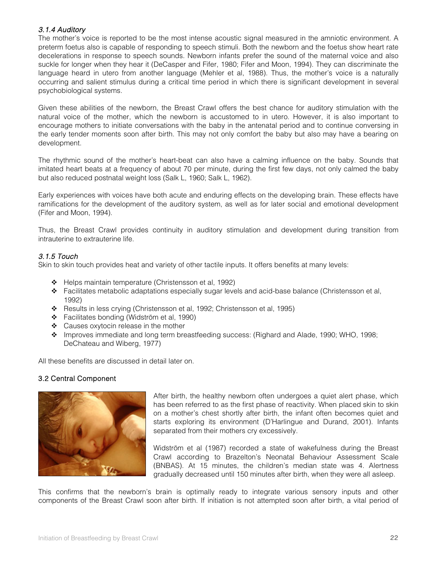# *3.1.4 Auditory*

The mother's voice is reported to be the most intense acoustic signal measured in the amniotic environment. A preterm foetus also is capable of responding to speech stimuli. Both the newborn and the foetus show heart rate decelerations in response to speech sounds. Newborn infants prefer the sound of the maternal voice and also suckle for longer when they hear it (DeCasper and Fifer, 1980; Fifer and Moon, 1994). They can discriminate the language heard in utero from another language (Mehler et al, 1988). Thus, the mother's voice is a naturally occurring and salient stimulus during a critical time period in which there is significant development in several psychobiological systems.

Given these abilities of the newborn, the Breast Crawl offers the best chance for auditory stimulation with the natural voice of the mother, which the newborn is accustomed to in utero. However, it is also important to encourage mothers to initiate conversations with the baby in the antenatal period and to continue conversing in the early tender moments soon after birth. This may not only comfort the baby but also may have a bearing on development.

The rhythmic sound of the mother's heart-beat can also have a calming influence on the baby. Sounds that imitated heart beats at a frequency of about 70 per minute, during the first few days, not only calmed the baby but also reduced postnatal weight loss (Salk L, 1960; Salk L, 1962).

Early experiences with voices have both acute and enduring effects on the developing brain. These effects have ramifications for the development of the auditory system, as well as for later social and emotional development (Fifer and Moon, 1994).

Thus, the Breast Crawl provides continuity in auditory stimulation and development during transition from intrauterine to extrauterine life.

# *3.1.5 Touch*

Skin to skin touch provides heat and variety of other tactile inputs. It offers benefits at many levels:

- ❖ Helps maintain temperature (Christensson et al, 1992)
- Facilitates metabolic adaptations especially sugar levels and acid-base balance (Christensson et al, 1992)
- \* Results in less crying (Christensson et al, 1992; Christensson et al, 1995)
- Facilitates bonding (Widström et al, 1990)
- Causes oxytocin release in the mother
- Improves immediate and long term breastfeeding success: (Righard and Alade, 1990; WHO, 1998; DeChateau and Wiberg, 1977)

All these benefits are discussed in detail later on.

# 3.2 Central Component



After birth, the healthy newborn often undergoes a quiet alert phase, which has been referred to as the first phase of reactivity. When placed skin to skin on a mother's chest shortly after birth, the infant often becomes quiet and starts exploring its environment (D'Harlingue and Durand, 2001). Infants separated from their mothers cry excessively.

Widström et al (1987) recorded a state of wakefulness during the Breast Crawl according to Brazelton's Neonatal Behaviour Assessment Scale (BNBAS). At 15 minutes, the children's median state was 4. Alertness gradually decreased until 150 minutes after birth, when they were all asleep.

This confirms that the newborn's brain is optimally ready to integrate various sensory inputs and other components of the Breast Crawl soon after birth. If initiation is not attempted soon after birth, a vital period of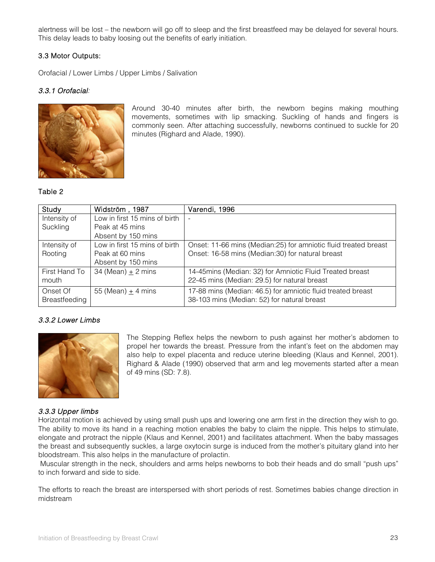alertness will be lost – the newborn will go off to sleep and the first breastfeed may be delayed for several hours. This delay leads to baby loosing out the benefits of early initiation.

# 3.3 Motor Outputs:

Orofacial / Lower Limbs / Upper Limbs / Salivation

# *3.3.1 Orofacial:*



Around 30-40 minutes after birth, the newborn begins making mouthing movements, sometimes with lip smacking. Suckling of hands and fingers is commonly seen. After attaching successfully, newborns continued to suckle for 20 minutes (Righard and Alade, 1990).

# Table 2

| Study         | Widström, 1987                | Varendi, 1996                                                   |
|---------------|-------------------------------|-----------------------------------------------------------------|
| Intensity of  | Low in first 15 mins of birth |                                                                 |
| Suckling      | Peak at 45 mins               |                                                                 |
|               | Absent by 150 mins            |                                                                 |
| Intensity of  | Low in first 15 mins of birth | Onset: 11-66 mins (Median:25) for amniotic fluid treated breast |
| Rooting       | Peak at 60 mins               | Onset: 16-58 mins (Median: 30) for natural breast               |
|               | Absent by 150 mins            |                                                                 |
| First Hand To | 34 (Mean) $\pm$ 2 mins        | 14-45mins (Median: 32) for Amniotic Fluid Treated breast        |
| mouth         |                               | 22-45 mins (Median: 29.5) for natural breast                    |
| Onset Of      | 55 (Mean) $\pm$ 4 mins        | 17-88 mins (Median: 46.5) for amniotic fluid treated breast     |
| Breastfeeding |                               | 38-103 mins (Median: 52) for natural breast                     |

# *3.3.2 Lower Limbs*



The Stepping Reflex helps the newborn to push against her mother's abdomen to propel her towards the breast. Pressure from the infant's feet on the abdomen may also help to expel placenta and reduce uterine bleeding (Klaus and Kennel, 2001). Righard & Alade (1990) observed that arm and leg movements started after a mean of 49 mins (SD: 7.8).

# *3.3.3 Upper limbs*

Horizontal motion is achieved by using small push ups and lowering one arm first in the direction they wish to go. The ability to move its hand in a reaching motion enables the baby to claim the nipple. This helps to stimulate, elongate and protract the nipple (Klaus and Kennel, 2001) and facilitates attachment. When the baby massages the breast and subsequently suckles, a large oxytocin surge is induced from the mother's pituitary gland into her bloodstream. This also helps in the manufacture of prolactin.

 Muscular strength in the neck, shoulders and arms helps newborns to bob their heads and do small "push ups" to inch forward and side to side.

The efforts to reach the breast are interspersed with short periods of rest. Sometimes babies change direction in midstream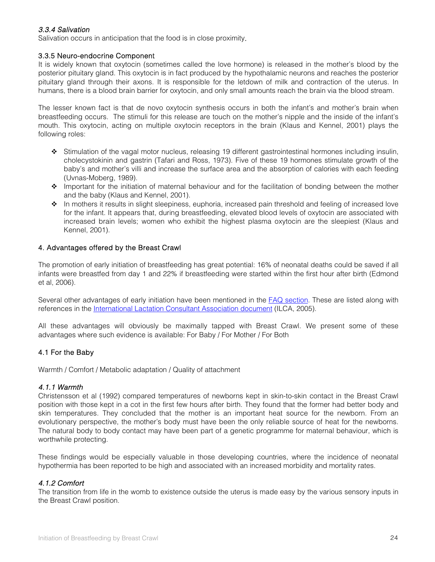# <span id="page-23-0"></span>*3.3.4 Salivation*

Salivation occurs in anticipation that the food is in close proximity.

# 3.3.5 Neuro-endocrine Component

It is widely known that oxytocin (sometimes called the love hormone) is released in the mother's blood by the posterior pituitary gland. This oxytocin is in fact produced by the hypothalamic neurons and reaches the posterior pituitary gland through their axons. It is responsible for the letdown of milk and contraction of the uterus. In humans, there is a blood brain barrier for oxytocin, and only small amounts reach the brain via the blood stream.

The lesser known fact is that de novo oxytocin synthesis occurs in both the infant's and mother's brain when breastfeeding occurs. The stimuli for this release are touch on the mother's nipple and the inside of the infant's mouth. This oxytocin, acting on multiple oxytocin receptors in the brain (Klaus and Kennel, 2001) plays the following roles:

- Stimulation of the vagal motor nucleus, releasing 19 different gastrointestinal hormones including insulin, cholecystokinin and gastrin (Tafari and Ross, 1973). Five of these 19 hormones stimulate growth of the baby's and mother's villi and increase the surface area and the absorption of calories with each feeding (Uvnas-Moberg, 1989).
- \* Important for the initiation of maternal behaviour and for the facilitation of bonding between the mother and the baby (Klaus and Kennel, 2001).
- In mothers it results in slight sleepiness, euphoria, increased pain threshold and feeling of increased love for the infant. It appears that, during breastfeeding, elevated blood levels of oxytocin are associated with increased brain levels; women who exhibit the highest plasma oxytocin are the sleepiest (Klaus and Kennel, 2001).

# 4. Advantages offered by the Breast Crawl

The promotion of early initiation of breastfeeding has great potential: 16% of neonatal deaths could be saved if all infants were breastfed from day 1 and 22% if breastfeeding were started within the first hour after birth (Edmond et al, 2006).

Several other advantages of early initiation have been mentioned in the [FAQ section.](#page-12-0) These are listed along with references in the [International Lactation Consultant Association document](http://www.ilca.org/education/2005clinicalguidelines.php) (ILCA, 2005).

All these advantages will obviously be maximally tapped with Breast Crawl. We present some of these advantages where such evidence is available: For Baby / For Mother / For Both

# 4.1 For the Baby

Warmth / Comfort / Metabolic adaptation / Quality of attachment

# *4.1.1 Warmth*

Christensson et al (1992) compared temperatures of newborns kept in skin-to-skin contact in the Breast Crawl position with those kept in a cot in the first few hours after birth. They found that the former had better body and skin temperatures. They concluded that the mother is an important heat source for the newborn. From an evolutionary perspective, the mother's body must have been the only reliable source of heat for the newborns. The natural body to body contact may have been part of a genetic programme for maternal behaviour, which is worthwhile protecting.

These findings would be especially valuable in those developing countries, where the incidence of neonatal hypothermia has been reported to be high and associated with an increased morbidity and mortality rates.

# *4.1.2 Comfort*

The transition from life in the womb to existence outside the uterus is made easy by the various sensory inputs in the Breast Crawl position.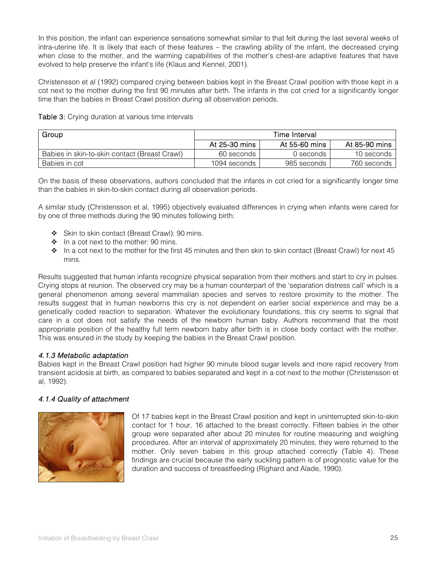In this position, the infant can experience sensations somewhat similar to that felt during the last several weeks of intra-uterine life. It is likely that each of these features – the crawling ability of the infant, the decreased crying when close to the mother, and the warming capabilities of the mother's chest-are adaptive features that have evolved to help preserve the infant's life (Klaus and Kennel, 2001).

Christensson et al (1992) compared crying between babies kept in the Breast Crawl position with those kept in a cot next to the mother during the first 90 minutes after birth. The infants in the cot cried for a significantly longer time than the babies in Breast Crawl position during all observation periods.

|  |  |  | Table 3: Crying duration at various time intervals |  |  |
|--|--|--|----------------------------------------------------|--|--|
|--|--|--|----------------------------------------------------|--|--|

| Group                                         | Time Interval |               |               |
|-----------------------------------------------|---------------|---------------|---------------|
|                                               | At 25-30 mins | At 55-60 mins | At 85-90 mins |
| Babies in skin-to-skin contact (Breast Crawl) | 60 seconds    | 0 seconds     | 10 seconds    |
| Babies in cot                                 | 1094 seconds  | 985 seconds   | 760 seconds   |

On the basis of these observations, authors concluded that the infants in cot cried for a significantly longer time than the babies in skin-to-skin contact during all observation periods.

A similar study (Christensson et al, 1995) objectively evaluated differences in crying when infants were cared for by one of three methods during the 90 minutes following birth:

- Skin to skin contact (Breast Crawl): 90 mins.
- $\cdot \cdot$  In a cot next to the mother: 90 mins.
- In a cot next to the mother for the first 45 minutes and then skin to skin contact (Breast Crawl) for next 45 mins.

Results suggested that human infants recognize physical separation from their mothers and start to cry in pulses. Crying stops at reunion. The observed cry may be a human counterpart of the 'separation distress call' which is a general phenomenon among several mammalian species and serves to restore proximity to the mother. The results suggest that in human newborns this cry is not dependent on earlier social experience and may be a genetically coded reaction to separation. Whatever the evolutionary foundations, this cry seems to signal that care in a cot does not satisfy the needs of the newborn human baby. Authors recommend that the most appropriate position of the healthy full term newborn baby after birth is in close body contact with the mother. This was ensured in the study by keeping the babies in the Breast Crawl position.

# *4.1.3 Metabolic adaptation*

Babies kept in the Breast Crawl position had higher 90 minute blood sugar levels and more rapid recovery from transient acidosis at birth, as compared to babies separated and kept in a cot next to the mother (Christensson et al, 1992).

# *4.1.4 Quality of attachment*



Of 17 babies kept in the Breast Crawl position and kept in uninterrupted skin-to-skin contact for 1 hour, 16 attached to the breast correctly. Fifteen babies in the other group were separated after about 20 minutes for routine measuring and weighing procedures. After an interval of approximately 20 minutes, they were returned to the mother. Only seven babies in this group attached correctly (Table 4). These findings are crucial because the early suckling pattern is of prognostic value for the duration and success of breastfeeding (Righard and Alade, 1990).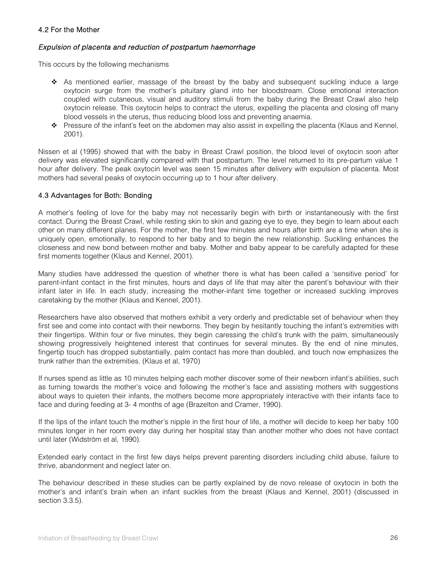# 4.2 For the Mother

# *Expulsion of placenta and reduction of postpartum haemorrhage*

This occurs by the following mechanisms

- \* As mentioned earlier, massage of the breast by the baby and subsequent suckling induce a large oxytocin surge from the mother's pituitary gland into her bloodstream. Close emotional interaction coupled with cutaneous, visual and auditory stimuli from the baby during the Breast Crawl also help oxytocin release. This oxytocin helps to contract the uterus, expelling the placenta and closing off many blood vessels in the uterus, thus reducing blood loss and preventing anaemia.
- Pressure of the infant's feet on the abdomen may also assist in expelling the placenta (Klaus and Kennel, 2001).

Nissen et al (1995) showed that with the baby in Breast Crawl position, the blood level of oxytocin soon after delivery was elevated significantly compared with that postpartum. The level returned to its pre-partum value 1 hour after delivery. The peak oxytocin level was seen 15 minutes after delivery with expulsion of placenta. Most mothers had several peaks of oxytocin occurring up to 1 hour after delivery.

# 4.3 Advantages for Both: Bonding

A mother's feeling of love for the baby may not necessarily begin with birth or instantaneously with the first contact. During the Breast Crawl, while resting skin to skin and gazing eye to eye, they begin to learn about each other on many different planes. For the mother, the first few minutes and hours after birth are a time when she is uniquely open, emotionally, to respond to her baby and to begin the new relationship. Suckling enhances the closeness and new bond between mother and baby. Mother and baby appear to be carefully adapted for these first moments together (Klaus and Kennel, 2001).

Many studies have addressed the question of whether there is what has been called a 'sensitive period' for parent-infant contact in the first minutes, hours and days of life that may alter the parent's behaviour with their infant later in life. In each study, increasing the mother-infant time together or increased suckling improves caretaking by the mother (Klaus and Kennel, 2001).

Researchers have also observed that mothers exhibit a very orderly and predictable set of behaviour when they first see and come into contact with their newborns. They begin by hesitantly touching the infant's extremities with their fingertips. Within four or five minutes, they begin caressing the child's trunk with the palm, simultaneously showing progressively heightened interest that continues for several minutes. By the end of nine minutes, fingertip touch has dropped substantially, palm contact has more than doubled, and touch now emphasizes the trunk rather than the extremities. (Klaus et al, 1970)

If nurses spend as little as 10 minutes helping each mother discover some of their newborn infant's abilities, such as turning towards the mother's voice and following the mother's face and assisting mothers with suggestions about ways to quieten their infants, the mothers become more appropriately interactive with their infants face to face and during feeding at 3- 4 months of age (Brazelton and Cramer, 1990).

If the lips of the infant touch the mother's nipple in the first hour of life, a mother will decide to keep her baby 100 minutes longer in her room every day during her hospital stay than another mother who does not have contact until later (Widström et al, 1990).

Extended early contact in the first few days helps prevent parenting disorders including child abuse, failure to thrive, abandonment and neglect later on.

The behaviour described in these studies can be partly explained by de novo release of oxytocin in both the mother's and infant's brain when an infant suckles from the breast (Klaus and Kennel, 2001) (discussed in [section 3.3.5\)](#page-23-0).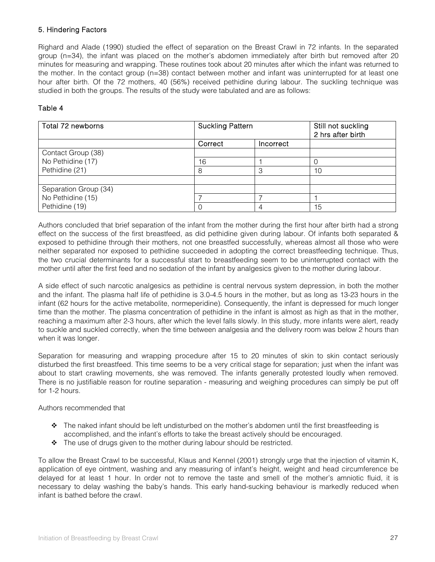# <span id="page-26-0"></span>5. Hindering Factors

Righard and Alade (1990) studied the effect of separation on the Breast Crawl in 72 infants. In the separated group (n=34), the infant was placed on the mother's abdomen immediately after birth but removed after 20 minutes for measuring and wrapping. These routines took about 20 minutes after which the infant was returned to the mother. In the contact group (n=38) contact between mother and infant was uninterrupted for at least one hour after birth. Of the 72 mothers, 40 (56%) received pethidine during labour. The suckling technique was studied in both the groups. The results of the study were tabulated and are as follows:

# Table 4

| Total 72 newborns     | <b>Suckling Pattern</b> |           | Still not suckling<br>2 hrs after birth |
|-----------------------|-------------------------|-----------|-----------------------------------------|
|                       | Correct                 | Incorrect |                                         |
| Contact Group (38)    |                         |           |                                         |
| No Pethidine (17)     | 16                      |           |                                         |
| Pethidine (21)        | 8                       | 3         | 10                                      |
|                       |                         |           |                                         |
| Separation Group (34) |                         |           |                                         |
| No Pethidine (15)     |                         |           |                                         |
| Pethidine (19)        |                         | 4         | 15                                      |

Authors concluded that brief separation of the infant from the mother during the first hour after birth had a strong effect on the success of the first breastfeed, as did pethidine given during labour. Of infants both separated & exposed to pethidine through their mothers, not one breastfed successfully, whereas almost all those who were neither separated nor exposed to pethidine succeeded in adopting the correct breastfeeding technique. Thus, the two crucial determinants for a successful start to breastfeeding seem to be uninterrupted contact with the mother until after the first feed and no sedation of the infant by analgesics given to the mother during labour.

A side effect of such narcotic analgesics as pethidine is central nervous system depression, in both the mother and the infant. The plasma half life of pethidine is 3.0-4.5 hours in the mother, but as long as 13-23 hours in the infant (62 hours for the active metabolite, normeperidine). Consequently, the infant is depressed for much longer time than the mother. The plasma concentration of pethidine in the infant is almost as high as that in the mother, reaching a maximum after 2-3 hours, after which the level falls slowly. In this study, more infants were alert, ready to suckle and suckled correctly, when the time between analgesia and the delivery room was below 2 hours than when it was longer.

Separation for measuring and wrapping procedure after 15 to 20 minutes of skin to skin contact seriously disturbed the first breastfeed. This time seems to be a very critical stage for separation; just when the infant was about to start crawling movements, she was removed. The infants generally protested loudly when removed. There is no justifiable reason for routine separation - measuring and weighing procedures can simply be put off for 1-2 hours.

# Authors recommended that

- \* The naked infant should be left undisturbed on the mother's abdomen until the first breastfeeding is accomplished, and the infant's efforts to take the breast actively should be encouraged.
- \* The use of drugs given to the mother during labour should be restricted.

To allow the Breast Crawl to be successful, Klaus and Kennel (2001) strongly urge that the injection of vitamin K, application of eye ointment, washing and any measuring of infant's height, weight and head circumference be delayed for at least 1 hour. In order not to remove the taste and smell of the mother's amniotic fluid, it is necessary to delay washing the baby's hands. This early hand-sucking behaviour is markedly reduced when infant is bathed before the crawl.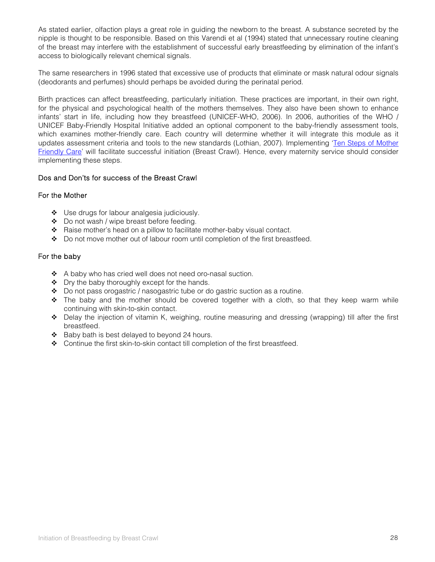As stated earlier, olfaction plays a great role in guiding the newborn to the breast. A substance secreted by the nipple is thought to be responsible. Based on this Varendi et al (1994) stated that unnecessary routine cleaning of the breast may interfere with the establishment of successful early breastfeeding by elimination of the infant's access to biologically relevant chemical signals.

The same researchers in 1996 stated that excessive use of products that eliminate or mask natural odour signals (deodorants and perfumes) should perhaps be avoided during the perinatal period.

Birth practices can affect breastfeeding, particularly initiation. These practices are important, in their own right, for the physical and psychological health of the mothers themselves. They also have been shown to enhance infants' start in life, including how they breastfeed (UNICEF-WHO, 2006). In 2006, authorities of the WHO / UNICEF Baby-Friendly Hospital Initiative added an optional component to the baby-friendly assessment tools, which examines mother-friendly care. Each country will determine whether it will integrate this module as it updates assessment criteria and tools to the new standards (Lothian, 2007). Implementing ['Ten Steps of Mother](http://www.unicef.org/programme/breastfeeding/baby.htm)  [Friendly Care'](http://www.unicef.org/programme/breastfeeding/baby.htm) will facilitate successful initiation (Breast Crawl). Hence, every maternity service should consider implementing these steps.

# Dos and Don'ts for success of the Breast Crawl

# For the Mother

- Use drugs for labour analgesia judiciously.
- ◆ Do not wash / wipe breast before feeding.
- \* Raise mother's head on a pillow to facilitate mother-baby visual contact.
- \* Do not move mother out of labour room until completion of the first breastfeed.

#### For the baby

- A baby who has cried well does not need oro-nasal suction.
- Dry the baby thoroughly except for the hands.
- $\bullet$  Do not pass orogastric / nasogastric tube or do gastric suction as a routine.
- $\div$  The baby and the mother should be covered together with a cloth, so that they keep warm while continuing with skin-to-skin contact.
- Delay the injection of vitamin K, weighing, routine measuring and dressing (wrapping) till after the first breastfeed.
- $\div$  Baby bath is best delayed to beyond 24 hours.
- \* Continue the first skin-to-skin contact till completion of the first breastfeed.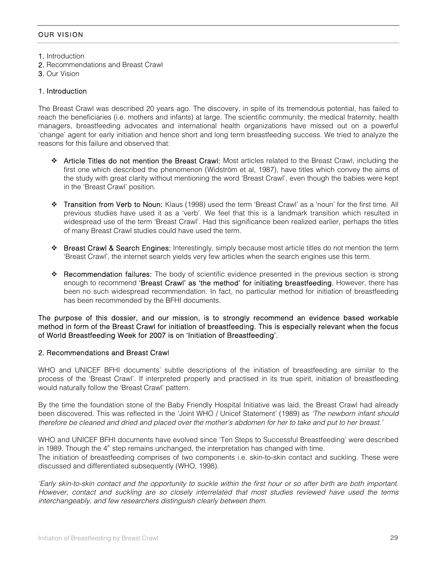# <span id="page-28-0"></span>OUR VISION

- 1. Introduction
- 2. Recommendations and Breast Crawl
- [3. Our Vision](#page-29-0)

#### 1. Introduction

The Breast Crawl was described 20 years ago. The discovery, in spite of its tremendous potential, has failed to reach the beneficiaries (i.e. mothers and infants) at large. The scientific community, the medical fraternity, health managers, breastfeeding advocates and international health organizations have missed out on a powerful 'change' agent for early initiation and hence short and long term breastfeeding success. We tried to analyze the reasons for this failure and observed that:

- \* Article Titles do not mention the Breast Crawl: Most articles related to the Breast Crawl, including the first one which described the phenomenon (Widström et al, 1987), have titles which convey the aims of the study with great clarity without mentioning the word 'Breast Crawl', even though the babies were kept in the 'Breast Crawl' position.
- Transition from Verb to Noun: Klaus (1998) used the term 'Breast Crawl' as a 'noun' for the first time. All previous studies have used it as a 'verb'. We feel that this is a landmark transition which resulted in widespread use of the term 'Breast Crawl'. Had this significance been realized earlier, perhaps the titles of many Breast Crawl studies could have used the term.
- Breast Crawl & Search Engines: Interestingly, simply because most article titles do not mention the term 'Breast Crawl', the internet search yields very few articles when the search engines use this term.
- \* Recommendation failures: The body of scientific evidence presented in the previous section is strong enough to recommend 'Breast Crawl' as 'the method' for initiating breastfeeding. However, there has been no such widespread recommendation. In fact, no particular method for initiation of breastfeeding has been recommended by the BFHI documents.

# The purpose of this dossier, and our mission, is to strongly recommend an evidence based workable method in form of the Breast Crawl for initiation of breastfeeding. This is especially relevant when the focus of World Breastfeeding Week for 2007 is on 'Initiation of Breastfeeding'.

# 2. Recommendations and Breast Crawl

WHO and UNICEF BFHI documents' subtle descriptions of the initiation of breastfeeding are similar to the process of the 'Breast Crawl'. If interpreted properly and practised in its true spirit, initiation of breastfeeding would naturally follow the 'Breast Crawl' pattern.

By the time the foundation stone of the Baby Friendly Hospital Initiative was laid, the Breast Crawl had already been discovered. This was reflected in the 'Joint WHO / Unicef Statement' (1989) as *'The newborn infant should therefore be cleaned and dried and placed over the mother's abdomen for her to take and put to her breast.'* 

WHO and UNICEF BFHI documents have evolved since 'Ten Steps to Successful Breastfeeding' were described in 1989. Though the  $4<sup>th</sup>$  step remains unchanged, the interpretation has changed with time.

The initiation of breastfeeding comprises of two components i.e. skin-to-skin contact and suckling. These were discussed and differentiated subsequently (WHO, 1998).

*'Early skin-to-skin contact and the opportunity to suckle within the first hour or so after birth are both important. However, contact and suckling are so closely interrelated that most studies reviewed have used the terms interchangeably, and few researchers distinguish clearly between them.*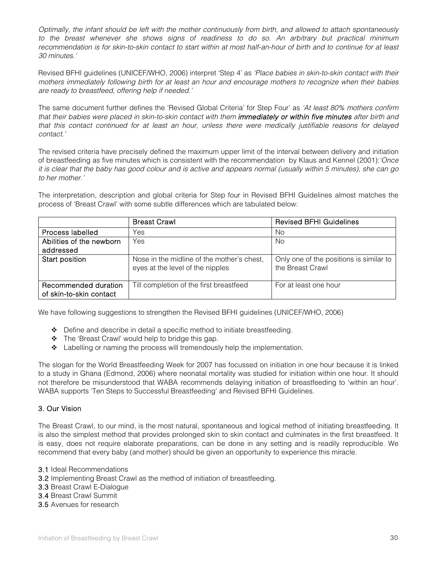<span id="page-29-0"></span>*Optimally, the infant should be left with the mother continuously from birth, and allowed to attach spontaneously to the breast whenever she shows signs of readiness to do so. An arbitrary but practical minimum recommendation is for skin-to-skin contact to start within at most half-an-hour of birth and to continue for at least 30 minutes.'* 

Revised BFHI guidelines (UNICEF/WHO, 2006) interpret 'Step 4' as *'Place babies in skin-to-skin contact with their mothers immediately following birth for at least an hour and encourage mothers to recognize when their babies are ready to breastfeed, offering help if needed.'* 

The same document further defines the 'Revised Global Criteria' for Step Four' as *'At least 80% mothers confirm that their babies were placed in skin-to-skin contact with them immediately or within five minutes after birth and that this contact continued for at least an hour, unless there were medically justifiable reasons for delayed contact.'* 

The revised criteria have precisely defined the maximum upper limit of the interval between delivery and initiation of breastfeeding as five minutes which is consistent with the recommendation by Klaus and Kennel (2001):*'Once it is clear that the baby has good colour and is active and appears normal (usually within 5 minutes), she can go to her mother.'* 

The interpretation, description and global criteria for Step four in Revised BFHI Guidelines almost matches the process of 'Breast Crawl' with some subtle differences which are tabulated below:

|                                                 | <b>Breast Crawl</b>                                                            | <b>Revised BFHI Guidelines</b>                              |
|-------------------------------------------------|--------------------------------------------------------------------------------|-------------------------------------------------------------|
| Process labelled                                | Yes                                                                            | No                                                          |
| Abilities of the newborn<br>addressed           | Yes                                                                            | No.                                                         |
| Start position                                  | Nose in the midline of the mother's chest,<br>eyes at the level of the nipples | Only one of the positions is similar to<br>the Breast Crawl |
| Recommended duration<br>of skin-to-skin contact | Till completion of the first breastfeed                                        | For at least one hour                                       |

We have following suggestions to strengthen the Revised BFHI guidelines (UNICEF/WHO, 2006)

- Define and describe in detail a specific method to initiate breastfeeding.
- ◆ The 'Breast Crawl' would help to bridge this gap.
- \* Labelling or naming the process will tremendously help the implementation.

The slogan for the World Breastfeeding Week for 2007 has focussed on initiation in one hour because it is linked to a study in Ghana (Edmond, 2006) where neonatal mortality was studied for initiation within one hour. It should not therefore be misunderstood that WABA recommends delaying initiation of breastfeeding to 'within an hour'. WABA supports 'Ten Steps to Successful Breastfeeding' and Revised BFHI Guidelines.

# 3. Our Vision

The Breast Crawl, to our mind, is the most natural, spontaneous and logical method of initiating breastfeeding. It is also the simplest method that provides prolonged skin to skin contact and culminates in the first breastfeed. It is easy, does not require elaborate preparations, can be done in any setting and is readily reproducible. We recommend that every baby (and mother) should be given an opportunity to experience this miracle.

[3.1 Ideal Recommendations](#page-30-0) 

[3.2 Implementing Breast Crawl as the method of initiation of breastfeeding.](#page-30-0) 

[3.3 Breast Crawl E-Dialogue](#page-30-0) 

[3.4 Breast Crawl Summit](#page-31-0) 

[3.5 Avenues for research](#page-31-0)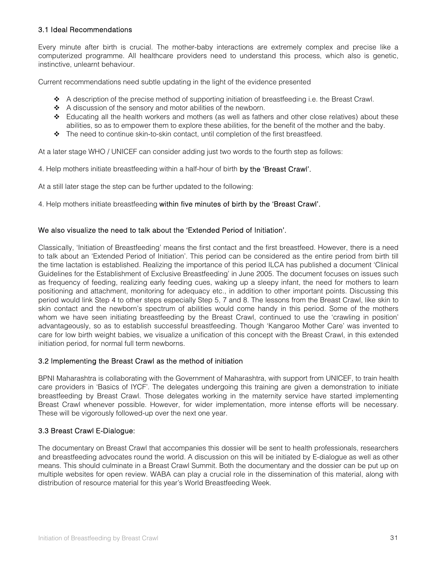# <span id="page-30-0"></span>3.1 Ideal Recommendations

Every minute after birth is crucial. The mother-baby interactions are extremely complex and precise like a computerized programme. All healthcare providers need to understand this process, which also is genetic, instinctive, unlearnt behaviour.

Current recommendations need subtle updating in the light of the evidence presented

- A description of the precise method of supporting initiation of breastfeeding i.e. the Breast Crawl.
- \* A discussion of the sensory and motor abilities of the newborn.
- \* Educating all the health workers and mothers (as well as fathers and other close relatives) about these abilities, so as to empower them to explore these abilities, for the benefit of the mother and the baby.
- The need to continue skin-to-skin contact, until completion of the first breastfeed.

At a later stage WHO / UNICEF can consider adding just two words to the fourth step as follows:

4. Help mothers initiate breastfeeding within a half-hour of birth by the 'Breast Crawl'.

At a still later stage the step can be further updated to the following:

4. Help mothers initiate breastfeeding within five minutes of birth by the 'Breast Crawl'.

# We also visualize the need to talk about the 'Extended Period of Initiation'.

Classically, 'Initiation of Breastfeeding' means the first contact and the first breastfeed. However, there is a need to talk about an 'Extended Period of Initiation'. This period can be considered as the entire period from birth till the time lactation is established. Realizing the importance of this period ILCA has published a document 'Clinical Guidelines for the Establishment of Exclusive Breastfeeding' in June 2005. The document focuses on issues such as frequency of feeding, realizing early feeding cues, waking up a sleepy infant, the need for mothers to learn positioning and attachment, monitoring for adequacy etc., in addition to other important points. Discussing this period would link Step 4 to other steps especially Step 5, 7 and 8. The lessons from the Breast Crawl, like skin to skin contact and the newborn's spectrum of abilities would come handy in this period. Some of the mothers whom we have seen initiating breastfeeding by the Breast Crawl, continued to use the 'crawling in position' advantageously, so as to establish successful breastfeeding. Though 'Kangaroo Mother Care' was invented to care for low birth weight babies, we visualize a unification of this concept with the Breast Crawl, in this extended initiation period, for normal full term newborns.

# 3.2 Implementing the Breast Crawl as the method of initiation

BPNI Maharashtra is collaborating with the Government of Maharashtra, with support from UNICEF, to train health care providers in 'Basics of IYCF'. The delegates undergoing this training are given a demonstration to initiate breastfeeding by Breast Crawl. Those delegates working in the maternity service have started implementing Breast Crawl whenever possible. However, for wider implementation, more intense efforts will be necessary. These will be vigorously followed-up over the next one year.

# 3.3 Breast Crawl E-Dialogue:

The documentary on Breast Crawl that accompanies this dossier will be sent to health professionals, researchers and breastfeeding advocates round the world. A discussion on this will be initiated by E-dialogue as well as other means. This should culminate in a Breast Crawl Summit. Both the documentary and the dossier can be put up on multiple websites for open review. WABA can play a crucial role in the dissemination of this material, along with distribution of resource material for this year's World Breastfeeding Week.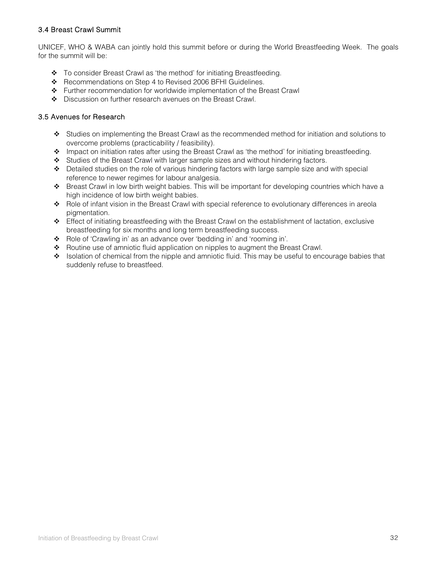# <span id="page-31-0"></span>3.4 Breast Crawl Summit

UNICEF, WHO & WABA can jointly hold this summit before or during the World Breastfeeding Week. The goals for the summit will be:

- To consider Breast Crawl as 'the method' for initiating Breastfeeding.
- \* Recommendations on Step 4 to Revised 2006 BFHI Guidelines.
- Further recommendation for worldwide implementation of the Breast Crawl
- Discussion on further research avenues on the Breast Crawl

# 3.5 Avenues for Research

- \* Studies on implementing the Breast Crawl as the recommended method for initiation and solutions to overcome problems (practicability / feasibility).
- Impact on initiation rates after using the Breast Crawl as 'the method' for initiating breastfeeding.
- Studies of the Breast Crawl with larger sample sizes and without hindering factors.
- \* Detailed studies on the role of various hindering factors with large sample size and with special reference to newer regimes for labour analgesia.
- \* Breast Crawl in low birth weight babies. This will be important for developing countries which have a high incidence of low birth weight babies.
- \* Role of infant vision in the Breast Crawl with special reference to evolutionary differences in areola pigmentation.
- Effect of initiating breastfeeding with the Breast Crawl on the establishment of lactation, exclusive breastfeeding for six months and long term breastfeeding success.
- \* Role of 'Crawling in' as an advance over 'bedding in' and 'rooming in'.
- \* Routine use of amniotic fluid application on nipples to augment the Breast Crawl.
- \* Isolation of chemical from the nipple and amniotic fluid. This may be useful to encourage babies that suddenly refuse to breastfeed.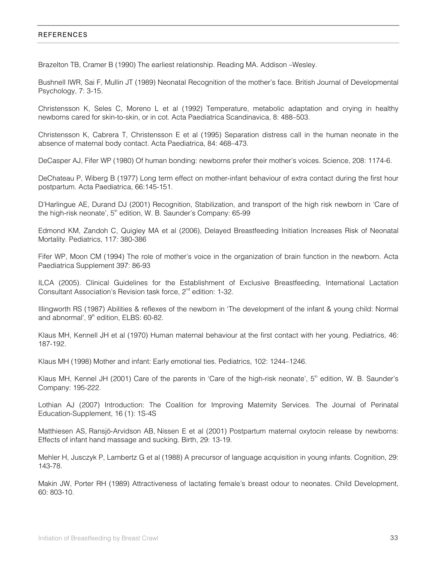#### <span id="page-32-0"></span>**REFERENCES**

Brazelton TB, Cramer B (1990) The earliest relationship. Reading MA. Addison –Wesley.

Bushnell IWR, Sai F, Mullin JT (1989) Neonatal Recognition of the mother's face. British Journal of Developmental Psychology, 7: 3-15.

Christensson K, Seles C, Moreno L et al (1992) Temperature, metabolic adaptation and crying in healthy newborns cared for skin-to-skin, or in cot. Acta Paediatrica Scandinavica, 8: 488–503.

Christensson K, Cabrera T, Christensson E et al (1995) Separation distress call in the human neonate in the absence of maternal body contact. Acta Paediatrica, 84: 468–473.

DeCasper AJ, Fifer WP (1980) Of human bonding: newborns prefer their mother's voices. Science, 208: 1174-6.

DeChateau P, Wiberg B (1977) Long term effect on mother-infant behaviour of extra contact during the first hour postpartum. Acta Paediatrica, 66:145-151.

D'Harlingue AE, Durand DJ (2001) Recognition, Stabilization, and transport of the high risk newborn in 'Care of the high-risk neonate',  $5<sup>th</sup>$  edition, W. B. Saunder's Company: 65-99

Edmond KM, Zandoh C, Quigley MA et al (2006), Delayed Breastfeeding Initiation Increases Risk of Neonatal Mortality. Pediatrics, 117: 380-386

Fifer WP, Moon CM (1994) The role of mother's voice in the organization of brain function in the newborn. Acta Paediatrica Supplement 397: 86-93

ILCA (2005). Clinical Guidelines for the Establishment of Exclusive Breastfeeding, International Lactation Consultant Association's Revision task force, 2<sup>nd</sup> edition: 1-32.

Illingworth RS (1987) Abilities & reflexes of the newborn in 'The development of the infant & young child: Normal and abnormal',  $9<sup>th</sup>$  edition, ELBS: 60-82.

Klaus MH, Kennell JH et al (1970) Human maternal behaviour at the first contact with her young. Pediatrics, 46: 187-192.

Klaus MH (1998) Mother and infant: Early emotional ties. Pediatrics, 102: 1244–1246.

Klaus MH, Kennel JH (2001) Care of the parents in 'Care of the high-risk neonate',  $5<sup>th</sup>$  edition, W. B. Saunder's Company: 195-222.

Lothian AJ (2007) Introduction: The Coalition for Improving Maternity Services. The Journal of Perinatal Education-Supplement, 16 (1): 1S-4S

Matthiesen AS, Ransjö-Arvidson AB, Nissen E et al (2001) Postpartum maternal oxytocin release by newborns: Effects of infant hand massage and sucking. Birth, 29: 13-19.

Mehler H, Jusczyk P, Lambertz G et al (1988) A precursor of language acquisition in young infants. Cognition, 29: 143-78.

Makin JW, Porter RH (1989) Attractiveness of lactating female's breast odour to neonates. Child Development, 60: 803-10.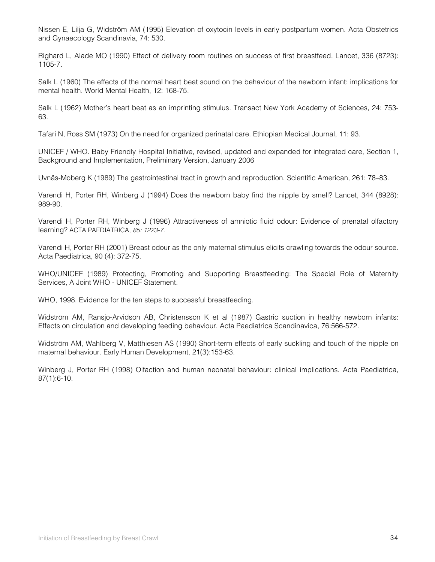Nissen E, Lilja G, Widström AM (1995) Elevation of oxytocin levels in early postpartum women. Acta Obstetrics and Gynaecology Scandinavia, 74: 530.

Righard L, Alade MO (1990) Effect of delivery room routines on success of first breastfeed. Lancet, 336 (8723): 1105-7.

Salk L (1960) The effects of the normal heart beat sound on the behaviour of the newborn infant: implications for mental health. World Mental Health, 12: 168-75.

Salk L (1962) Mother's heart beat as an imprinting stimulus. Transact New York Academy of Sciences, 24: 753- 63.

Tafari N, Ross SM (1973) On the need for organized perinatal care. Ethiopian Medical Journal, 11: 93.

UNICEF / WHO. Baby Friendly Hospital Initiative, revised, updated and expanded for integrated care, Section 1, Background and Implementation, Preliminary Version, January 2006

Uvnäs-Moberg K (1989) The gastrointestinal tract in growth and reproduction. Scientific American, 261: 78–83.

Varendi H, Porter RH, Winberg J (1994) Does the newborn baby find the nipple by smell? Lancet, 344 (8928): 989-90.

Varendi H, Porter RH, Winberg J (1996) Attractiveness of amniotic fluid odour: Evidence of prenatal olfactory learning? ACTA PAEDIATRICA, *85: 1223-7.* 

Varendi H, Porter RH (2001) Breast odour as the only maternal stimulus elicits crawling towards the odour source. Acta Paediatrica, 90 (4): 372-75.

WHO/UNICEF (1989) Protecting, Promoting and Supporting Breastfeeding: The Special Role of Maternity Services, A Joint WHO - UNICEF Statement.

WHO, 1998. Evidence for the ten steps to successful breastfeeding.

Widström AM, Ransjo-Arvidson AB, Christensson K et al (1987) Gastric suction in healthy newborn infants: Effects on circulation and developing feeding behaviour. Acta Paediatrica Scandinavica, 76:566-572.

Widström AM, Wahlberg V, Matthiesen AS (1990) Short-term effects of early suckling and touch of the nipple on maternal behaviour. Early Human Development, 21(3):153-63.

Winberg J, Porter RH (1998) Olfaction and human neonatal behaviour: clinical implications. Acta Paediatrica, 87(1):6-10.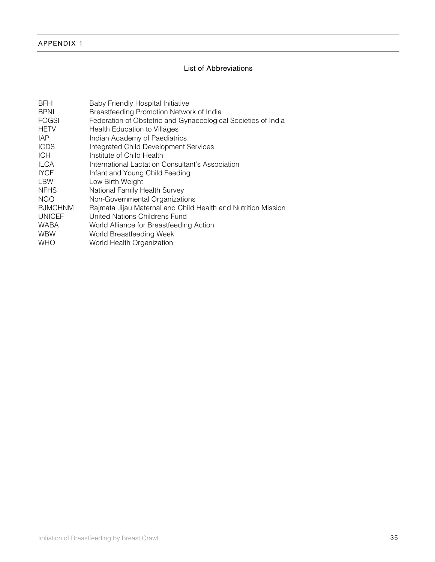# <span id="page-34-0"></span>APPENDIX 1

# List of Abbreviations

| <b>BFHI</b>    | Baby Friendly Hospital Initiative                             |
|----------------|---------------------------------------------------------------|
| <b>BPNI</b>    | Breastfeeding Promotion Network of India                      |
| <b>FOGSI</b>   | Federation of Obstetric and Gynaecological Societies of India |
| <b>HETV</b>    | <b>Health Education to Villages</b>                           |
| IAP            | Indian Academy of Paediatrics                                 |
| <b>ICDS</b>    | Integrated Child Development Services                         |
| <b>ICH</b>     | Institute of Child Health                                     |
| <b>ILCA</b>    | International Lactation Consultant's Association              |
| <b>IYCF</b>    | Infant and Young Child Feeding                                |
| <b>LBW</b>     | Low Birth Weight                                              |
| <b>NFHS</b>    | National Family Health Survey                                 |
| <b>NGO</b>     | Non-Governmental Organizations                                |
| <b>RJMCHNM</b> | Rajmata Jijau Maternal and Child Health and Nutrition Mission |
| <b>UNICEF</b>  | United Nations Childrens Fund                                 |
| WABA           | World Alliance for Breastfeeding Action                       |
| <b>WBW</b>     | World Breastfeeding Week                                      |
| <b>WHO</b>     | World Health Organization                                     |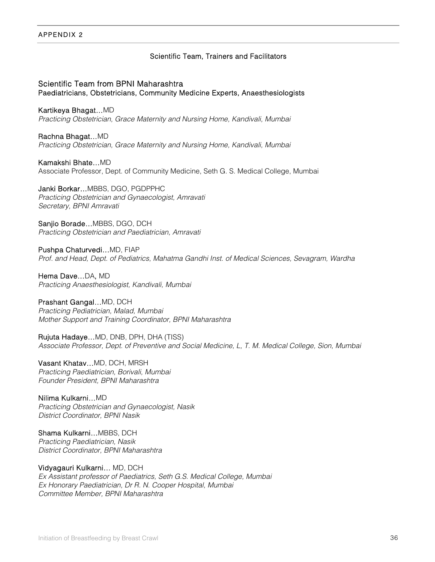# <span id="page-35-0"></span>APPENDIX 2

# Scientific Team, Trainers and Facilitators

#### Scientific Team from BPNI Maharashtra Paediatricians, Obstetricians, Community Medicine Experts, Anaesthesiologists

Kartikeya Bhagat…MD

*Practicing Obstetrician, Grace Maternity and Nursing Home, Kandivali, Mumbai* 

Rachna Bhagat…MD *Practicing Obstetrician, Grace Maternity and Nursing Home, Kandivali, Mumbai* 

Kamakshi Bhate…MD Associate Professor, Dept. of Community Medicine, Seth G. S. Medical College, Mumbai

Janki Borkar…MBBS, DGO, PGDPPHC *Practicing Obstetrician and Gynaecologist, Amravati Secretary, BPNI Amravati* 

Sanjio Borade…MBBS, DGO, DCH *Practicing Obstetrician and Paediatrician, Amravati* 

Pushpa Chaturvedi…MD, FIAP *Prof. and Head, Dept. of Pediatrics, Mahatma Gandhi Inst. of Medical Sciences, Sevagram, Wardha* 

Hema Dave…DA, MD *Practicing Anaesthesiologist, Kandivali, Mumbai* 

Prashant Gangal…MD, DCH *Practicing Pediatrician, Malad, Mumbai Mother Support and Training Coordinator, BPNI Maharashtra* 

Rujuta Hadaye…MD, DNB, DPH, DHA (TISS) *Associate Professor, Dept. of Preventive and Social Medicine, L, T. M. Medical College, Sion, Mumbai* 

Vasant Khatav…MD, DCH, MRSH *Practicing Paediatrician, Borivali, Mumbai Founder President, BPNI Maharashtra* 

Nilima Kulkarni…MD *Practicing Obstetrician and Gynaecologist, Nasik District Coordinator, BPNI Nasik* 

Shama Kulkarni…MBBS, DCH *Practicing Paediatrician, Nasik District Coordinator, BPNI Maharashtra* 

Vidyagauri Kulkarni… MD, DCH *Ex Assistant professor of Paediatrics, Seth G.S. Medical College, Mumbai Ex Honorary Paediatrician, Dr R. N. Cooper Hospital, Mumbai Committee Member, BPNI Maharashtra*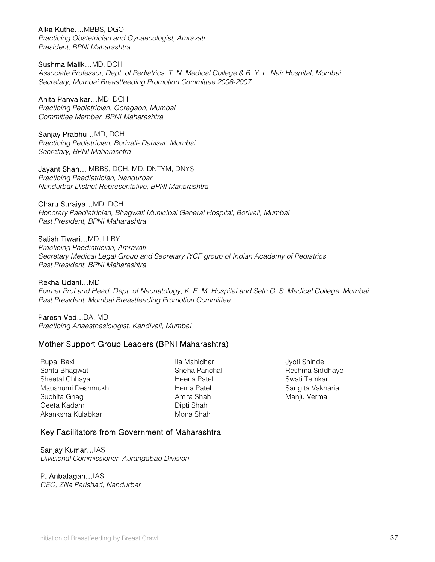Alka Kuthe….MBBS, DGO

*Practicing Obstetrician and Gynaecologist, Amravati President, BPNI Maharashtra* 

Sushma Malik…MD, DCH *Associate Professor, Dept. of Pediatrics, T. N. Medical College & B. Y. L. Nair Hospital, Mumbai Secretary, Mumbai Breastfeeding Promotion Committee 2006-2007* 

Anita Panvalkar…MD, DCH *Practicing Pediatrician, Goregaon, Mumbai Committee Member, BPNI Maharashtra* 

Sanjay Prabhu…MD, DCH *Practicing Pediatrician, Borivali- Dahisar, Mumbai Secretary, BPNI Maharashtra* 

Jayant Shah… MBBS, DCH, MD, DNTYM, DNYS *Practicing Paediatrician, Nandurbar Nandurbar District Representative, BPNI Maharashtra* 

Charu Suraiya…MD, DCH *Honorary Paediatrician, Bhagwati Municipal General Hospital, Borivali, Mumbai Past President, BPNI Maharashtra* 

Satish Tiwari…MD, LLBY *Practicing Paediatrician, Amravati Secretary Medical Legal Group and Secretary IYCF group of Indian Academy of Pediatrics Past President, BPNI Maharashtra* 

Rekha Udani…MD *Former Prof and Head, Dept. of Neonatology, K. E. M. Hospital and Seth G. S. Medical College, Mumbai Past President, Mumbai Breastfeeding Promotion Committee* 

Paresh Ved...DA, MD *Practicing Anaesthesiologist, Kandivali, Mumbai* 

# Mother Support Group Leaders (BPNI Maharashtra)

Rupal Baxi Sarita Bhagwat Sheetal Chhaya Maushumi Deshmukh Suchita Ghag Geeta Kadam Akanksha Kulabkar

Ila Mahidhar Sneha Panchal Heena Patel Hema Patel Amita Shah Dipti Shah Mona Shah

Jyoti Shinde Reshma Siddhaye Swati Temkar Sangita Vakharia Manju Verma

# Key Facilitators from Government of Maharashtra

Sanjay Kumar…IAS

*Divisional Commissioner, Aurangabad Division* 

# P. Anbalagan…IAS

*CEO, Zilla Parishad, Nandurbar*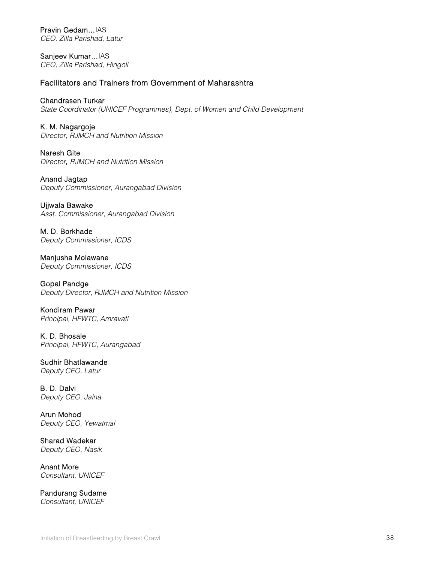Pravin Gedam…IAS *CEO, Zilla Parishad, Latur* 

Sanjeev Kumar…IAS *CEO, Zilla Parishad, Hingoli*

# Facilitators and Trainers from Government of Maharashtra

#### Chandrasen Turkar

*State Coordinator (UNICEF Programmes), Dept. of Women and Child Development* 

K. M. Nagargoje *Director, RJMCH and Nutrition Mission*

Naresh Gite *Director*, *RJMCH and Nutrition Mission*

Anand Jagtap *Deputy Commissioner, Aurangabad Division* 

Ujjwala Bawake *Asst. Commissioner, Aurangabad Division* 

M. D. Borkhade *Deputy Commissioner, ICDS* 

Manjusha Molawane *Deputy Commissioner, ICDS* 

Gopal Pandge *Deputy Director, RJMCH and Nutrition Mission* 

Kondiram Pawar *Principal, HFWTC, Amravati* 

K. D. Bhosale *Principal, HFWTC, Aurangabad* 

Sudhir Bhatlawande *Deputy CEO, Latur* 

B. D. Dalvi *Deputy CEO, Jalna* 

Arun Mohod *Deputy CEO, Yewatmal* 

Sharad Wadekar *Deputy CEO, Nasik* 

Anant More *Consultant, UNICEF* 

Pandurang Sudame *Consultant, UNICEF*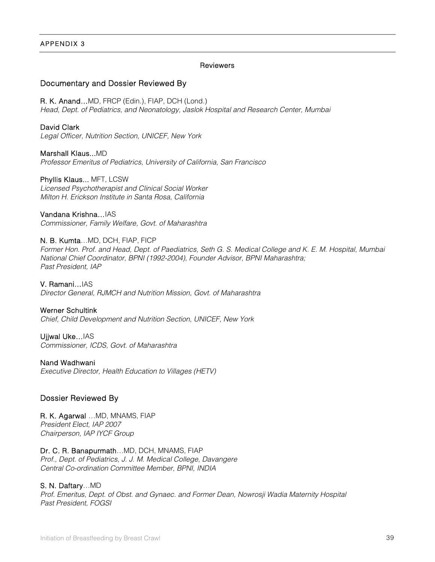#### <span id="page-38-0"></span>APPENDIX 3

#### **Reviewers**

#### Documentary and Dossier Reviewed By

R. K. Anand…MD, FRCP (Edin.), FIAP, DCH (Lond.) *Head, Dept. of Pediatrics, and Neonatology, Jaslok Hospital and Research Center, Mumbai* 

David Clark *Legal Officer, Nutrition Section, UNICEF, New York* 

Marshall Klaus...MD *Professor Emeritus of Pediatrics, University of California, San Francisco* 

Phyllis Klaus... MFT, LCSW *Licensed Psychotherapist and Clinical Social Worker Milton H. Erickson Institute in Santa Rosa, California* 

Vandana Krishna…IAS *Commissioner, Family Welfare, Govt. of Maharashtra* 

N. B. Kumta…MD, DCH, FIAP, FICP

*Former Hon. Prof. and Head, Dept. of Paediatrics, Seth G. S. Medical College and K. E. M. Hospital, Mumbai National Chief Coordinator, BPNI (1992-2004), Founder Advisor, BPNI Maharashtra; Past President, IAP* 

V. Ramani…IAS *Director General, RJMCH and Nutrition Mission, Govt. of Maharashtra* 

Werner Schultink

*Chief, Child Development and Nutrition Section, UNICEF, New York* 

Ujjwal Uke…IAS *Commissioner, ICDS, Govt. of Maharashtra* 

Nand Wadhwani *Executive Director, Health Education to Villages (HETV)* 

# Dossier Reviewed By

R. K. Agarwal …MD, MNAMS, FIAP *President Elect, IAP 2007 Chairperson, IAP IYCF Group* 

Dr. C. R. Banapurmath…MD, DCH, MNAMS, FIAP *Prof., Dept. of Pediatrics, J. J. M. Medical College, Davangere Central Co-ordination Committee Member, BPNI, INDIA* 

S. N. Daftary…MD *Prof. Emeritus, Dept. of Obst. and Gynaec. and Former Dean, Nowrosji Wadia Maternity Hospital Past President, FOGSI*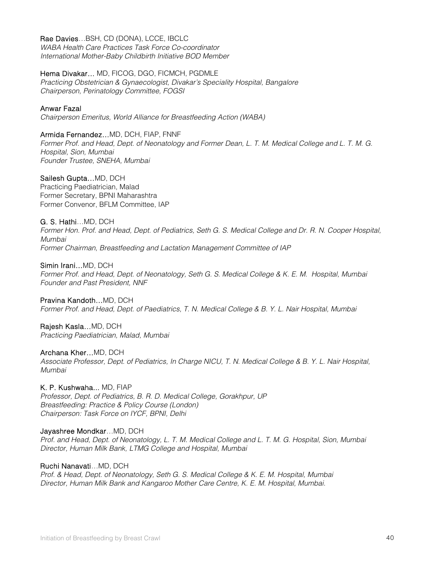Rae Davies…BSH, CD (DONA), LCCE, IBCLC *WABA Health Care Practices Task Force Co-coordinator International Mother-Baby Childbirth Initiative BOD Member* 

Hema Divakar… MD, FICOG, DGO, FICMCH, PGDMLE

*Practicing Obstetrician & Gynaecologist, Divakar's Speciality Hospital, Bangalore Chairperson, Perinatology Committee, FOGSI* 

# Anwar Fazal

*Chairperson Emeritus, World Alliance for Breastfeeding Action (WABA)* 

# Armida Fernandez…MD, DCH, FIAP, FNNF

*Former Prof. and Head, Dept. of Neonatology and Former Dean, L. T. M. Medical College and L. T. M. G. Hospital, Sion, Mumbai Founder Trustee, SNEHA, Mumbai* 

Sailesh Gupta…MD, DCH Practicing Paediatrician, Malad Former Secretary, BPNI Maharashtra Former Convenor, BFLM Committee, IAP

G. S. Hathi…MD, DCH *Former Hon. Prof. and Head, Dept. of Pediatrics, Seth G. S. Medical College and Dr. R. N. Cooper Hospital, Mumbai Former Chairman, Breastfeeding and Lactation Management Committee of IAP* 

Simin Irani…MD, DCH *Former Prof. and Head, Dept. of Neonatology, Seth G. S. Medical College & K. E. M. Hospital, Mumbai Founder and Past President, NNF* 

Pravina Kandoth…MD, DCH *Former Prof. and Head, Dept. of Paediatrics, T. N. Medical College & B. Y. L. Nair Hospital, Mumbai*

Rajesh Kasla…MD, DCH *Practicing Paediatrician, Malad, Mumbai* 

Archana Kher…MD, DCH

*Associate Professor, Dept. of Pediatrics, In Charge NICU, T. N. Medical College & B. Y. L. Nair Hospital, Mumbai*

K. P. Kushwaha... MD, FIAP *Professor, Dept. of Pediatrics, B. R. D. Medical College, Gorakhpur, UP Breastfeeding: Practice & Policy Course (London) Chairperson: Task Force on IYCF, BPNI, Delhi* 

# Jayashree Mondkar…MD, DCH

*Prof. and Head, Dept. of Neonatology, L. T. M. Medical College and L. T. M. G. Hospital, Sion, Mumbai Director, Human Milk Bank, LTMG College and Hospital, Mumbai* 

# Ruchi Nanavati…MD, DCH

*Prof. & Head, Dept. of Neonatology, Seth G. S. Medical College & K. E. M. Hospital, Mumbai Director, Human Milk Bank and Kangaroo Mother Care Centre, K. E. M. Hospital, Mumbai.*